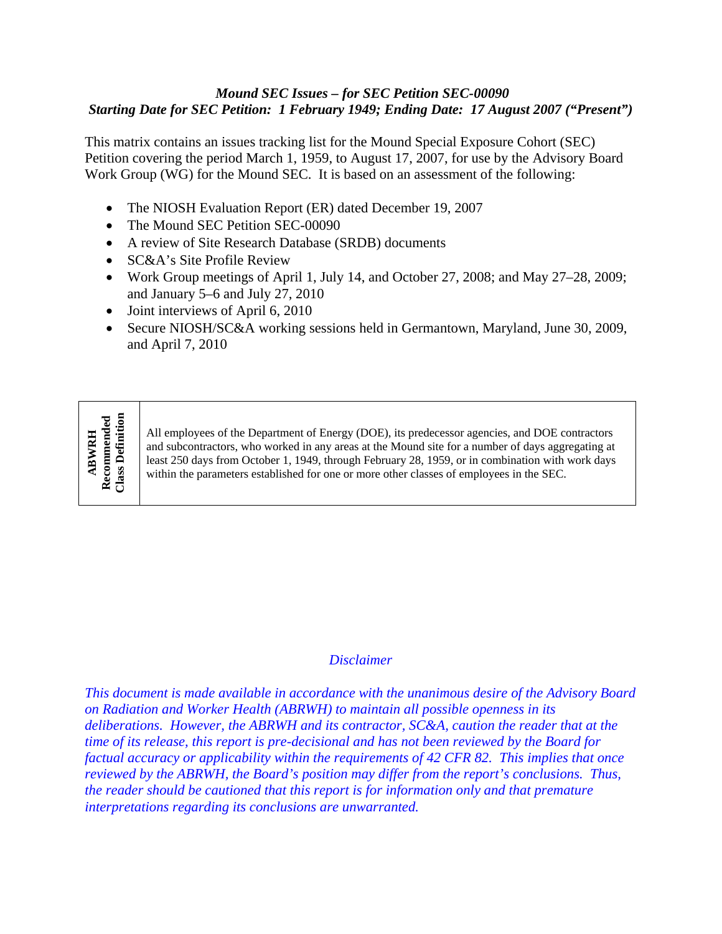## *Mound SEC Issues – for SEC Petition SEC-00090 Starting Date for SEC Petition: 1 February 1949; Ending Date: 17 August 2007 ("Present")*

This matrix contains an issues tracking list for the Mound Special Exposure Cohort (SEC) Petition covering the period March 1, 1959, to August 17, 2007, for use by the Advisory Board Work Group (WG) for the Mound SEC. It is based on an assessment of the following:

- The NIOSH Evaluation Report (ER) dated December 19, 2007
- The Mound SEC Petition SEC-00090
- A review of Site Research Database (SRDB) documents
- SC&A's Site Profile Review
- Work Group meetings of April 1, July 14, and October 27, 2008; and May 27–28, 2009; and January 5–6 and July 27, 2010
- Joint interviews of April 6, 2010
- Secure NIOSH/SC&A working sessions held in Germantown, Maryland, June 30, 2009, and April 7, 2010

## Recommended<br>Class Definition **Recommended Class Definition ABWRH ABWRH**

All employees of the Department of Energy (DOE), its predecessor agencies, and DOE contractors and subcontractors, who worked in any areas at the Mound site for a number of days aggregating at least 250 days from October 1, 1949, through February 28, 1959, or in combination with work days within the parameters established for one or more other classes of employees in the SEC.

## *Disclaimer*

*This document is made available in accordance with the unanimous desire of the Advisory Board on Radiation and Worker Health (ABRWH) to maintain all possible openness in its deliberations. However, the ABRWH and its contractor, SC&A, caution the reader that at the time of its release, this report is pre-decisional and has not been reviewed by the Board for factual accuracy or applicability within the requirements of 42 CFR 82. This implies that once reviewed by the ABRWH, the Board's position may differ from the report's conclusions. Thus, the reader should be cautioned that this report is for information only and that premature interpretations regarding its conclusions are unwarranted.*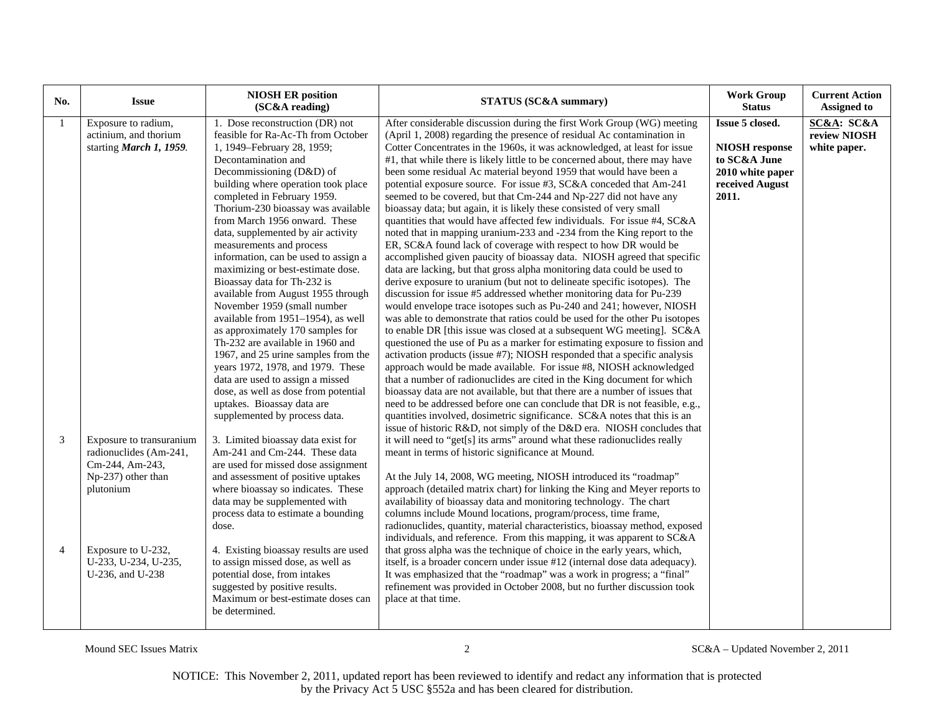| No.                 | <b>Issue</b>                                                                                                                                                               | <b>NIOSH ER position</b><br>(SC&A reading)                                                                                                                                                                                                                                                                                                                                                                                                                                                                                                                                                                                                                                                                                                                                                                                                                 | STATUS (SC&A summary)                                                                                                                                                                                                                                                                                                                                                                                                                                                                                                                                                                                                                                                                                                                                                                                                                                                                                                                                                                                                                                                                                                                                                                                                                                                                                                                                                                                                                                                                                                                                                                                                                                                                                                                                                                                                                            | <b>Work Group</b><br><b>Status</b>                                                                       | <b>Current Action</b><br><b>Assigned to</b> |
|---------------------|----------------------------------------------------------------------------------------------------------------------------------------------------------------------------|------------------------------------------------------------------------------------------------------------------------------------------------------------------------------------------------------------------------------------------------------------------------------------------------------------------------------------------------------------------------------------------------------------------------------------------------------------------------------------------------------------------------------------------------------------------------------------------------------------------------------------------------------------------------------------------------------------------------------------------------------------------------------------------------------------------------------------------------------------|--------------------------------------------------------------------------------------------------------------------------------------------------------------------------------------------------------------------------------------------------------------------------------------------------------------------------------------------------------------------------------------------------------------------------------------------------------------------------------------------------------------------------------------------------------------------------------------------------------------------------------------------------------------------------------------------------------------------------------------------------------------------------------------------------------------------------------------------------------------------------------------------------------------------------------------------------------------------------------------------------------------------------------------------------------------------------------------------------------------------------------------------------------------------------------------------------------------------------------------------------------------------------------------------------------------------------------------------------------------------------------------------------------------------------------------------------------------------------------------------------------------------------------------------------------------------------------------------------------------------------------------------------------------------------------------------------------------------------------------------------------------------------------------------------------------------------------------------------|----------------------------------------------------------------------------------------------------------|---------------------------------------------|
|                     | Exposure to radium,<br>actinium, and thorium<br>starting March 1, 1959.                                                                                                    | 1. Dose reconstruction (DR) not<br>feasible for Ra-Ac-Th from October<br>1, 1949–February 28, 1959;<br>Decontamination and<br>Decommissioning (D&D) of<br>building where operation took place<br>completed in February 1959.<br>Thorium-230 bioassay was available<br>from March 1956 onward. These<br>data, supplemented by air activity<br>measurements and process<br>information, can be used to assign a<br>maximizing or best-estimate dose.<br>Bioassay data for Th-232 is<br>available from August 1955 through<br>November 1959 (small number<br>available from 1951-1954), as well<br>as approximately 170 samples for<br>Th-232 are available in 1960 and<br>1967, and 25 urine samples from the<br>years 1972, 1978, and 1979. These<br>data are used to assign a missed<br>dose, as well as dose from potential<br>uptakes. Bioassay data are | After considerable discussion during the first Work Group (WG) meeting<br>(April 1, 2008) regarding the presence of residual Ac contamination in<br>Cotter Concentrates in the 1960s, it was acknowledged, at least for issue<br>#1, that while there is likely little to be concerned about, there may have<br>been some residual Ac material beyond 1959 that would have been a<br>potential exposure source. For issue #3, SC&A conceded that Am-241<br>seemed to be covered, but that Cm-244 and Np-227 did not have any<br>bioassay data; but again, it is likely these consisted of very small<br>quantities that would have affected few individuals. For issue #4, SC&A<br>noted that in mapping uranium-233 and -234 from the King report to the<br>ER, SC&A found lack of coverage with respect to how DR would be<br>accomplished given paucity of bioassay data. NIOSH agreed that specific<br>data are lacking, but that gross alpha monitoring data could be used to<br>derive exposure to uranium (but not to delineate specific isotopes). The<br>discussion for issue #5 addressed whether monitoring data for Pu-239<br>would envelope trace isotopes such as Pu-240 and 241; however, NIOSH<br>was able to demonstrate that ratios could be used for the other Pu isotopes<br>to enable DR [this issue was closed at a subsequent WG meeting]. SC&A<br>questioned the use of Pu as a marker for estimating exposure to fission and<br>activation products (issue #7); NIOSH responded that a specific analysis<br>approach would be made available. For issue #8, NIOSH acknowledged<br>that a number of radionuclides are cited in the King document for which<br>bioassay data are not available, but that there are a number of issues that<br>need to be addressed before one can conclude that DR is not feasible, e.g., | Issue 5 closed.<br><b>NIOSH</b> response<br>to SC&A June<br>2010 white paper<br>received August<br>2011. | SC&A: SC&A<br>review NIOSH<br>white paper.  |
| 3<br>$\overline{4}$ | Exposure to transuranium<br>radionuclides (Am-241,<br>Cm-244, Am-243,<br>Np-237) other than<br>plutonium<br>Exposure to U-232,<br>U-233, U-234, U-235,<br>U-236, and U-238 | supplemented by process data.<br>3. Limited bioassay data exist for<br>Am-241 and Cm-244. These data<br>are used for missed dose assignment<br>and assessment of positive uptakes<br>where bioassay so indicates. These<br>data may be supplemented with<br>process data to estimate a bounding<br>dose.<br>4. Existing bioassay results are used<br>to assign missed dose, as well as<br>potential dose, from intakes<br>suggested by positive results.<br>Maximum or best-estimate doses can<br>be determined.                                                                                                                                                                                                                                                                                                                                           | quantities involved, dosimetric significance. SC&A notes that this is an<br>issue of historic R&D, not simply of the D&D era. NIOSH concludes that<br>it will need to "get[s] its arms" around what these radionuclides really<br>meant in terms of historic significance at Mound.<br>At the July 14, 2008, WG meeting, NIOSH introduced its "roadmap"<br>approach (detailed matrix chart) for linking the King and Meyer reports to<br>availability of bioassay data and monitoring technology. The chart<br>columns include Mound locations, program/process, time frame,<br>radionuclides, quantity, material characteristics, bioassay method, exposed<br>individuals, and reference. From this mapping, it was apparent to SC&A<br>that gross alpha was the technique of choice in the early years, which,<br>itself, is a broader concern under issue #12 (internal dose data adequacy).<br>It was emphasized that the "roadmap" was a work in progress; a "final"<br>refinement was provided in October 2008, but no further discussion took<br>place at that time.                                                                                                                                                                                                                                                                                                                                                                                                                                                                                                                                                                                                                                                                                                                                                                      |                                                                                                          |                                             |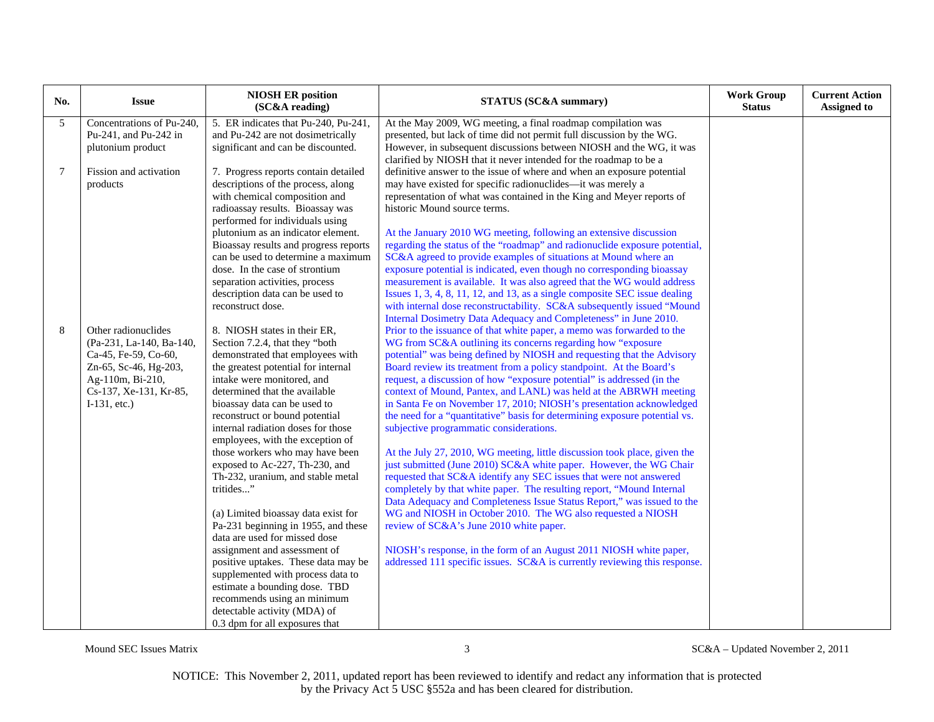| No.            | <b>Issue</b>                              | <b>NIOSH ER position</b><br>(SC&A reading)                              | <b>STATUS (SC&amp;A summary)</b>                                                                                                              | <b>Work Group</b><br><b>Status</b> | <b>Current Action</b><br><b>Assigned to</b> |
|----------------|-------------------------------------------|-------------------------------------------------------------------------|-----------------------------------------------------------------------------------------------------------------------------------------------|------------------------------------|---------------------------------------------|
| 5              | Concentrations of Pu-240,                 | 5. ER indicates that Pu-240, Pu-241,                                    | At the May 2009, WG meeting, a final roadmap compilation was                                                                                  |                                    |                                             |
|                | Pu-241, and Pu-242 in                     | and Pu-242 are not dosimetrically                                       | presented, but lack of time did not permit full discussion by the WG.                                                                         |                                    |                                             |
|                | plutonium product                         | significant and can be discounted.                                      | However, in subsequent discussions between NIOSH and the WG, it was                                                                           |                                    |                                             |
|                |                                           |                                                                         | clarified by NIOSH that it never intended for the roadmap to be a                                                                             |                                    |                                             |
| $\overline{7}$ | Fission and activation                    | 7. Progress reports contain detailed                                    | definitive answer to the issue of where and when an exposure potential                                                                        |                                    |                                             |
|                | products                                  | descriptions of the process, along<br>with chemical composition and     | may have existed for specific radionuclides--- it was merely a<br>representation of what was contained in the King and Meyer reports of       |                                    |                                             |
|                |                                           | radioassay results. Bioassay was                                        | historic Mound source terms.                                                                                                                  |                                    |                                             |
|                |                                           | performed for individuals using                                         |                                                                                                                                               |                                    |                                             |
|                |                                           | plutonium as an indicator element.                                      | At the January 2010 WG meeting, following an extensive discussion                                                                             |                                    |                                             |
|                |                                           | Bioassay results and progress reports                                   | regarding the status of the "roadmap" and radionuclide exposure potential,                                                                    |                                    |                                             |
|                |                                           | can be used to determine a maximum                                      | SC&A agreed to provide examples of situations at Mound where an                                                                               |                                    |                                             |
|                |                                           | dose. In the case of strontium                                          | exposure potential is indicated, even though no corresponding bioassay                                                                        |                                    |                                             |
|                |                                           | separation activities, process                                          | measurement is available. It was also agreed that the WG would address                                                                        |                                    |                                             |
|                |                                           | description data can be used to                                         | Issues 1, 3, 4, 8, 11, 12, and 13, as a single composite SEC issue dealing                                                                    |                                    |                                             |
|                |                                           | reconstruct dose.                                                       | with internal dose reconstructability. SC&A subsequently issued "Mound                                                                        |                                    |                                             |
|                |                                           |                                                                         | Internal Dosimetry Data Adequacy and Completeness" in June 2010.                                                                              |                                    |                                             |
| 8              | Other radionuclides                       | 8. NIOSH states in their ER,                                            | Prior to the issuance of that white paper, a memo was forwarded to the                                                                        |                                    |                                             |
|                | (Pa-231, La-140, Ba-140,                  | Section 7.2.4, that they "both                                          | WG from SC&A outlining its concerns regarding how "exposure                                                                                   |                                    |                                             |
|                | Ca-45, Fe-59, Co-60,                      | demonstrated that employees with<br>the greatest potential for internal | potential" was being defined by NIOSH and requesting that the Advisory<br>Board review its treatment from a policy standpoint. At the Board's |                                    |                                             |
|                | Zn-65, Sc-46, Hg-203,<br>Ag-110m, Bi-210, | intake were monitored, and                                              | request, a discussion of how "exposure potential" is addressed (in the                                                                        |                                    |                                             |
|                | Cs-137, Xe-131, Kr-85,                    | determined that the available                                           | context of Mound, Pantex, and LANL) was held at the ABRWH meeting                                                                             |                                    |                                             |
|                | $I-131$ , etc.)                           | bioassay data can be used to                                            | in Santa Fe on November 17, 2010; NIOSH's presentation acknowledged                                                                           |                                    |                                             |
|                |                                           | reconstruct or bound potential                                          | the need for a "quantitative" basis for determining exposure potential vs.                                                                    |                                    |                                             |
|                |                                           | internal radiation doses for those                                      | subjective programmatic considerations.                                                                                                       |                                    |                                             |
|                |                                           | employees, with the exception of                                        |                                                                                                                                               |                                    |                                             |
|                |                                           | those workers who may have been                                         | At the July 27, 2010, WG meeting, little discussion took place, given the                                                                     |                                    |                                             |
|                |                                           | exposed to Ac-227, Th-230, and                                          | just submitted (June 2010) SC&A white paper. However, the WG Chair                                                                            |                                    |                                             |
|                |                                           | Th-232, uranium, and stable metal                                       | requested that SC&A identify any SEC issues that were not answered                                                                            |                                    |                                             |
|                |                                           | tritides"                                                               | completely by that white paper. The resulting report, "Mound Internal                                                                         |                                    |                                             |
|                |                                           |                                                                         | Data Adequacy and Completeness Issue Status Report," was issued to the                                                                        |                                    |                                             |
|                |                                           | (a) Limited bioassay data exist for                                     | WG and NIOSH in October 2010. The WG also requested a NIOSH                                                                                   |                                    |                                             |
|                |                                           | Pa-231 beginning in 1955, and these<br>data are used for missed dose    | review of SC&A's June 2010 white paper.                                                                                                       |                                    |                                             |
|                |                                           | assignment and assessment of                                            | NIOSH's response, in the form of an August 2011 NIOSH white paper,                                                                            |                                    |                                             |
|                |                                           | positive uptakes. These data may be                                     | addressed 111 specific issues. SC&A is currently reviewing this response.                                                                     |                                    |                                             |
|                |                                           | supplemented with process data to                                       |                                                                                                                                               |                                    |                                             |
|                |                                           | estimate a bounding dose. TBD                                           |                                                                                                                                               |                                    |                                             |
|                |                                           | recommends using an minimum                                             |                                                                                                                                               |                                    |                                             |
|                |                                           | detectable activity (MDA) of                                            |                                                                                                                                               |                                    |                                             |
|                |                                           | 0.3 dpm for all exposures that                                          |                                                                                                                                               |                                    |                                             |

Mound SEC Issues Matrix 3 SC&A – Updated November 2, 2011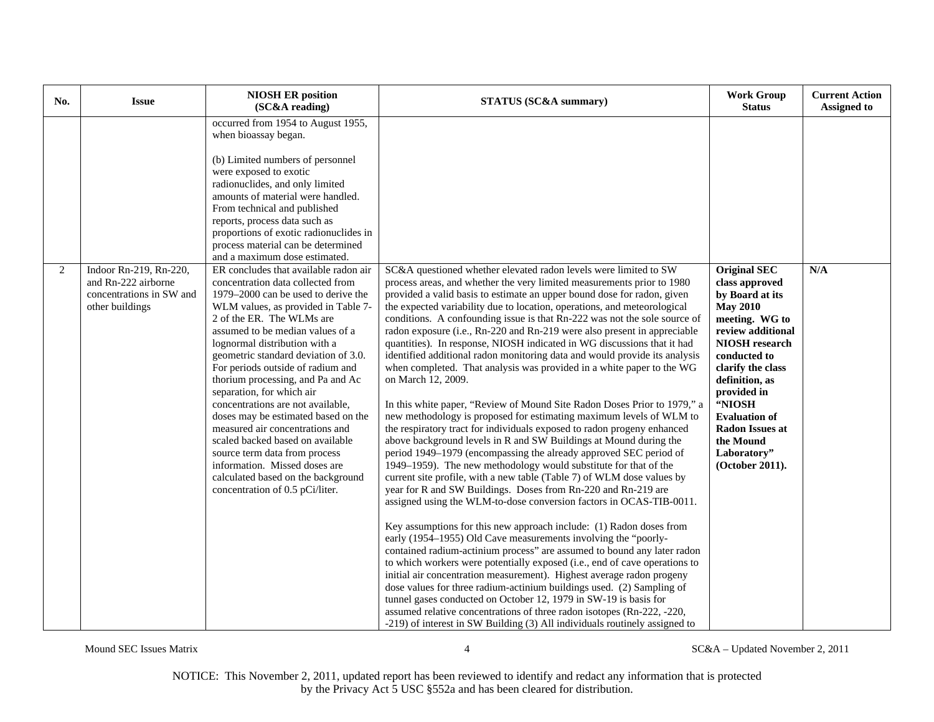| No. | <b>Issue</b>                                                                                 | <b>NIOSH ER position</b><br>(SC&A reading)                                                                                                                                                                                                                                                                                                                                                                                                                                                                                                                                                                                                                                                              | <b>STATUS (SC&amp;A summary)</b>                                                                                                                                                                                                                                                                                                                                                                                                                                                                                                                                                                                                                                                                                                                                                                                                                                                                                                                                                                                                                                                                                                                                                                                                                                                                                                                                                                                                                                                                                                                                                                                                                                                                                                                                                                                                                                                                                                                                                                                                                                 | <b>Work Group</b><br><b>Status</b>                                                                                                                                                                                                                                                                                    | <b>Current Action</b><br><b>Assigned to</b> |
|-----|----------------------------------------------------------------------------------------------|---------------------------------------------------------------------------------------------------------------------------------------------------------------------------------------------------------------------------------------------------------------------------------------------------------------------------------------------------------------------------------------------------------------------------------------------------------------------------------------------------------------------------------------------------------------------------------------------------------------------------------------------------------------------------------------------------------|------------------------------------------------------------------------------------------------------------------------------------------------------------------------------------------------------------------------------------------------------------------------------------------------------------------------------------------------------------------------------------------------------------------------------------------------------------------------------------------------------------------------------------------------------------------------------------------------------------------------------------------------------------------------------------------------------------------------------------------------------------------------------------------------------------------------------------------------------------------------------------------------------------------------------------------------------------------------------------------------------------------------------------------------------------------------------------------------------------------------------------------------------------------------------------------------------------------------------------------------------------------------------------------------------------------------------------------------------------------------------------------------------------------------------------------------------------------------------------------------------------------------------------------------------------------------------------------------------------------------------------------------------------------------------------------------------------------------------------------------------------------------------------------------------------------------------------------------------------------------------------------------------------------------------------------------------------------------------------------------------------------------------------------------------------------|-----------------------------------------------------------------------------------------------------------------------------------------------------------------------------------------------------------------------------------------------------------------------------------------------------------------------|---------------------------------------------|
|     |                                                                                              | occurred from 1954 to August 1955,<br>when bioassay began.<br>(b) Limited numbers of personnel<br>were exposed to exotic<br>radionuclides, and only limited<br>amounts of material were handled.<br>From technical and published<br>reports, process data such as<br>proportions of exotic radionuclides in<br>process material can be determined<br>and a maximum dose estimated.                                                                                                                                                                                                                                                                                                                      |                                                                                                                                                                                                                                                                                                                                                                                                                                                                                                                                                                                                                                                                                                                                                                                                                                                                                                                                                                                                                                                                                                                                                                                                                                                                                                                                                                                                                                                                                                                                                                                                                                                                                                                                                                                                                                                                                                                                                                                                                                                                  |                                                                                                                                                                                                                                                                                                                       |                                             |
| 2   | Indoor Rn-219, Rn-220,<br>and Rn-222 airborne<br>concentrations in SW and<br>other buildings | ER concludes that available radon air<br>concentration data collected from<br>1979–2000 can be used to derive the<br>WLM values, as provided in Table 7-<br>2 of the ER. The WLMs are<br>assumed to be median values of a<br>lognormal distribution with a<br>geometric standard deviation of 3.0.<br>For periods outside of radium and<br>thorium processing, and Pa and Ac<br>separation, for which air<br>concentrations are not available,<br>doses may be estimated based on the<br>measured air concentrations and<br>scaled backed based on available<br>source term data from process<br>information. Missed doses are<br>calculated based on the background<br>concentration of 0.5 pCi/liter. | SC&A questioned whether elevated radon levels were limited to SW<br>process areas, and whether the very limited measurements prior to 1980<br>provided a valid basis to estimate an upper bound dose for radon, given<br>the expected variability due to location, operations, and meteorological<br>conditions. A confounding issue is that Rn-222 was not the sole source of<br>radon exposure (i.e., Rn-220 and Rn-219 were also present in appreciable<br>quantities). In response, NIOSH indicated in WG discussions that it had<br>identified additional radon monitoring data and would provide its analysis<br>when completed. That analysis was provided in a white paper to the WG<br>on March 12, 2009.<br>In this white paper, "Review of Mound Site Radon Doses Prior to 1979," a<br>new methodology is proposed for estimating maximum levels of WLM to<br>the respiratory tract for individuals exposed to radon progeny enhanced<br>above background levels in R and SW Buildings at Mound during the<br>period 1949-1979 (encompassing the already approved SEC period of<br>1949-1959). The new methodology would substitute for that of the<br>current site profile, with a new table (Table 7) of WLM dose values by<br>year for R and SW Buildings. Doses from Rn-220 and Rn-219 are<br>assigned using the WLM-to-dose conversion factors in OCAS-TIB-0011.<br>Key assumptions for this new approach include: (1) Radon doses from<br>early (1954–1955) Old Cave measurements involving the "poorly-<br>contained radium-actinium process" are assumed to bound any later radon<br>to which workers were potentially exposed (i.e., end of cave operations to<br>initial air concentration measurement). Highest average radon progeny<br>dose values for three radium-actinium buildings used. (2) Sampling of<br>tunnel gases conducted on October 12, 1979 in SW-19 is basis for<br>assumed relative concentrations of three radon isotopes (Rn-222, -220,<br>-219) of interest in SW Building (3) All individuals routinely assigned to | <b>Original SEC</b><br>class approved<br>by Board at its<br><b>May 2010</b><br>meeting. WG to<br>review additional<br><b>NIOSH</b> research<br>conducted to<br>clarify the class<br>definition, as<br>provided in<br>"NIOSH<br><b>Evaluation of</b><br>Radon Issues at<br>the Mound<br>Laboratory"<br>(October 2011). | N/A                                         |

Mound SEC Issues Matrix 4 SC&A – Updated November 2, 2011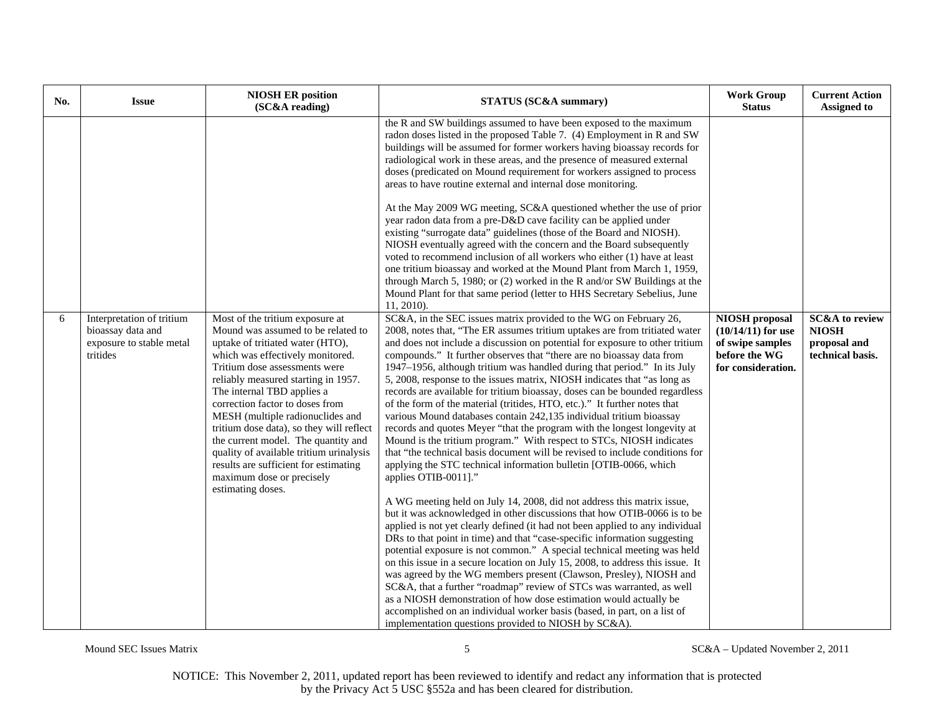| No. | <b>Issue</b>                                                                           | <b>NIOSH ER position</b><br>(SC&A reading)                                                                                                                                                                                                                                                                                                                                                                                                                                                                                                          | STATUS (SC&A summary)                                                                                                                                                                                                                                                                                                                                                                                                                                                                                                                                                                                                                                                                                                                                                                                                                                                                                                                                                                                                                                                                                                                                                                                                                                                                                                                                                                                                                                                                                                                                                                                                                                                                                                                                                                                                                                                                                                                                                                                                                                                                                                                                                                                                                                                                                                                                                                                                                                                                                                                                                                                                                                                                                                                                                                                                                                                                                                                                 | <b>Work Group</b><br><b>Status</b>                                                                       | <b>Current Action</b><br><b>Assigned to</b>                                   |
|-----|----------------------------------------------------------------------------------------|-----------------------------------------------------------------------------------------------------------------------------------------------------------------------------------------------------------------------------------------------------------------------------------------------------------------------------------------------------------------------------------------------------------------------------------------------------------------------------------------------------------------------------------------------------|-------------------------------------------------------------------------------------------------------------------------------------------------------------------------------------------------------------------------------------------------------------------------------------------------------------------------------------------------------------------------------------------------------------------------------------------------------------------------------------------------------------------------------------------------------------------------------------------------------------------------------------------------------------------------------------------------------------------------------------------------------------------------------------------------------------------------------------------------------------------------------------------------------------------------------------------------------------------------------------------------------------------------------------------------------------------------------------------------------------------------------------------------------------------------------------------------------------------------------------------------------------------------------------------------------------------------------------------------------------------------------------------------------------------------------------------------------------------------------------------------------------------------------------------------------------------------------------------------------------------------------------------------------------------------------------------------------------------------------------------------------------------------------------------------------------------------------------------------------------------------------------------------------------------------------------------------------------------------------------------------------------------------------------------------------------------------------------------------------------------------------------------------------------------------------------------------------------------------------------------------------------------------------------------------------------------------------------------------------------------------------------------------------------------------------------------------------------------------------------------------------------------------------------------------------------------------------------------------------------------------------------------------------------------------------------------------------------------------------------------------------------------------------------------------------------------------------------------------------------------------------------------------------------------------------------------------------|----------------------------------------------------------------------------------------------------------|-------------------------------------------------------------------------------|
| 6   | Interpretation of tritium<br>bioassay data and<br>exposure to stable metal<br>tritides | Most of the tritium exposure at<br>Mound was assumed to be related to<br>uptake of tritiated water (HTO),<br>which was effectively monitored.<br>Tritium dose assessments were<br>reliably measured starting in 1957.<br>The internal TBD applies a<br>correction factor to doses from<br>MESH (multiple radionuclides and<br>tritium dose data), so they will reflect<br>the current model. The quantity and<br>quality of available tritium urinalysis<br>results are sufficient for estimating<br>maximum dose or precisely<br>estimating doses. | the R and SW buildings assumed to have been exposed to the maximum<br>radon doses listed in the proposed Table 7. (4) Employment in R and SW<br>buildings will be assumed for former workers having bioassay records for<br>radiological work in these areas, and the presence of measured external<br>doses (predicated on Mound requirement for workers assigned to process<br>areas to have routine external and internal dose monitoring.<br>At the May 2009 WG meeting, SC&A questioned whether the use of prior<br>year radon data from a pre-D&D cave facility can be applied under<br>existing "surrogate data" guidelines (those of the Board and NIOSH).<br>NIOSH eventually agreed with the concern and the Board subsequently<br>voted to recommend inclusion of all workers who either (1) have at least<br>one tritium bioassay and worked at the Mound Plant from March 1, 1959,<br>through March 5, 1980; or (2) worked in the R and/or SW Buildings at the<br>Mound Plant for that same period (letter to HHS Secretary Sebelius, June<br>11, 2010).<br>SC&A, in the SEC issues matrix provided to the WG on February 26,<br>2008, notes that, "The ER assumes tritium uptakes are from tritiated water<br>and does not include a discussion on potential for exposure to other tritium<br>compounds." It further observes that "there are no bioassay data from<br>1947–1956, although tritium was handled during that period." In its July<br>5, 2008, response to the issues matrix, NIOSH indicates that "as long as<br>records are available for tritium bioassay, doses can be bounded regardless<br>of the form of the material (tritides, HTO, etc.)." It further notes that<br>various Mound databases contain 242,135 individual tritium bioassay<br>records and quotes Meyer "that the program with the longest longevity at<br>Mound is the tritium program." With respect to STCs, NIOSH indicates<br>that "the technical basis document will be revised to include conditions for<br>applying the STC technical information bulletin [OTIB-0066, which<br>applies OTIB-0011]."<br>A WG meeting held on July 14, 2008, did not address this matrix issue,<br>but it was acknowledged in other discussions that how OTIB-0066 is to be<br>applied is not yet clearly defined (it had not been applied to any individual<br>DRs to that point in time) and that "case-specific information suggesting<br>potential exposure is not common." A special technical meeting was held<br>on this issue in a secure location on July 15, 2008, to address this issue. It<br>was agreed by the WG members present (Clawson, Presley), NIOSH and<br>SC&A, that a further "roadmap" review of STCs was warranted, as well<br>as a NIOSH demonstration of how dose estimation would actually be<br>accomplished on an individual worker basis (based, in part, on a list of<br>implementation questions provided to NIOSH by SC&A). | <b>NIOSH</b> proposal<br>$(10/14/11)$ for use<br>of swipe samples<br>before the WG<br>for consideration. | <b>SC&amp;A</b> to review<br><b>NIOSH</b><br>proposal and<br>technical basis. |

Mound SEC Issues Matrix 5 SC&A – Updated November 2, 2011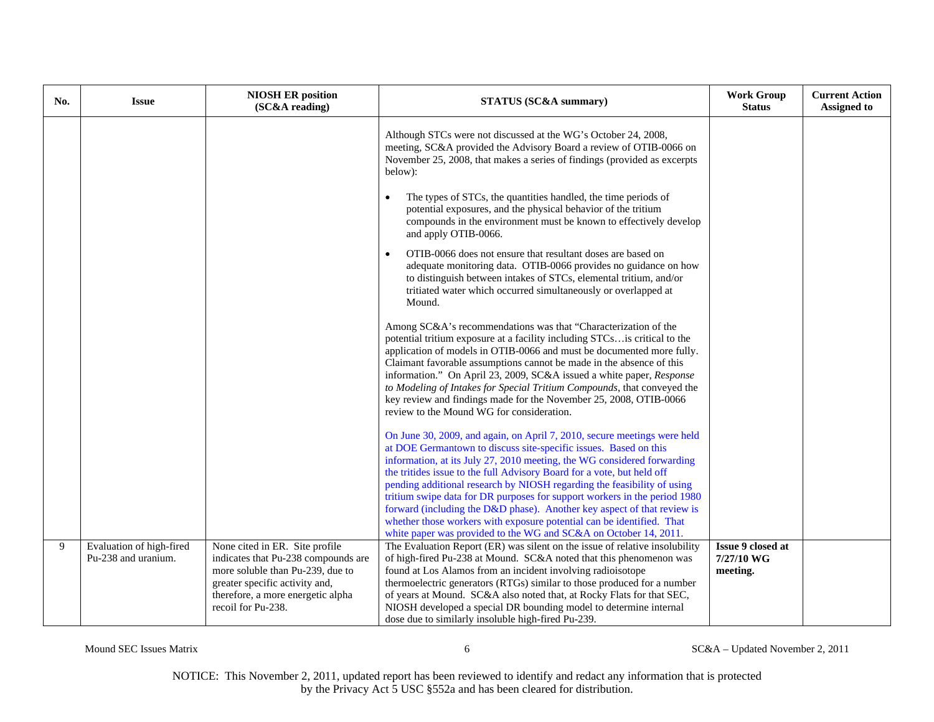| No. | <b>Issue</b>                                    | <b>NIOSH ER position</b><br>(SC&A reading)                                                                                                                                                             | <b>STATUS (SC&amp;A summary)</b>                                                                                                                                                                                                                                                                                                                                                                                                                                                                                                                                                                                                                                                  | <b>Work Group</b><br><b>Status</b>          | <b>Current Action</b><br><b>Assigned to</b> |
|-----|-------------------------------------------------|--------------------------------------------------------------------------------------------------------------------------------------------------------------------------------------------------------|-----------------------------------------------------------------------------------------------------------------------------------------------------------------------------------------------------------------------------------------------------------------------------------------------------------------------------------------------------------------------------------------------------------------------------------------------------------------------------------------------------------------------------------------------------------------------------------------------------------------------------------------------------------------------------------|---------------------------------------------|---------------------------------------------|
|     |                                                 |                                                                                                                                                                                                        | Although STCs were not discussed at the WG's October 24, 2008,<br>meeting, SC&A provided the Advisory Board a review of OTIB-0066 on<br>November 25, 2008, that makes a series of findings (provided as excerpts<br>below):                                                                                                                                                                                                                                                                                                                                                                                                                                                       |                                             |                                             |
|     |                                                 |                                                                                                                                                                                                        | The types of STCs, the quantities handled, the time periods of<br>potential exposures, and the physical behavior of the tritium<br>compounds in the environment must be known to effectively develop<br>and apply OTIB-0066.                                                                                                                                                                                                                                                                                                                                                                                                                                                      |                                             |                                             |
|     |                                                 |                                                                                                                                                                                                        | OTIB-0066 does not ensure that resultant doses are based on<br>$\bullet$<br>adequate monitoring data. OTIB-0066 provides no guidance on how<br>to distinguish between intakes of STCs, elemental tritium, and/or<br>tritiated water which occurred simultaneously or overlapped at<br>Mound.                                                                                                                                                                                                                                                                                                                                                                                      |                                             |                                             |
|     |                                                 |                                                                                                                                                                                                        | Among SC&A's recommendations was that "Characterization of the<br>potential tritium exposure at a facility including STCsis critical to the<br>application of models in OTIB-0066 and must be documented more fully.<br>Claimant favorable assumptions cannot be made in the absence of this<br>information." On April 23, 2009, SC&A issued a white paper, Response<br>to Modeling of Intakes for Special Tritium Compounds, that conveyed the<br>key review and findings made for the November 25, 2008, OTIB-0066<br>review to the Mound WG for consideration.                                                                                                                 |                                             |                                             |
|     |                                                 |                                                                                                                                                                                                        | On June 30, 2009, and again, on April 7, 2010, secure meetings were held<br>at DOE Germantown to discuss site-specific issues. Based on this<br>information, at its July 27, 2010 meeting, the WG considered forwarding<br>the tritides issue to the full Advisory Board for a vote, but held off<br>pending additional research by NIOSH regarding the feasibility of using<br>tritium swipe data for DR purposes for support workers in the period 1980<br>forward (including the D&D phase). Another key aspect of that review is<br>whether those workers with exposure potential can be identified. That<br>white paper was provided to the WG and SC&A on October 14, 2011. |                                             |                                             |
| 9   | Evaluation of high-fired<br>Pu-238 and uranium. | None cited in ER. Site profile<br>indicates that Pu-238 compounds are<br>more soluble than Pu-239, due to<br>greater specific activity and,<br>therefore, a more energetic alpha<br>recoil for Pu-238. | The Evaluation Report (ER) was silent on the issue of relative insolubility<br>of high-fired Pu-238 at Mound. SC&A noted that this phenomenon was<br>found at Los Alamos from an incident involving radioisotope<br>thermoelectric generators (RTGs) similar to those produced for a number<br>of years at Mound. SC&A also noted that, at Rocky Flats for that SEC,<br>NIOSH developed a special DR bounding model to determine internal<br>dose due to similarly insoluble high-fired Pu-239.                                                                                                                                                                                   | Issue 9 closed at<br>7/27/10 WG<br>meeting. |                                             |

Mound SEC Issues Matrix 6 6 SC&A – Updated November 2, 2011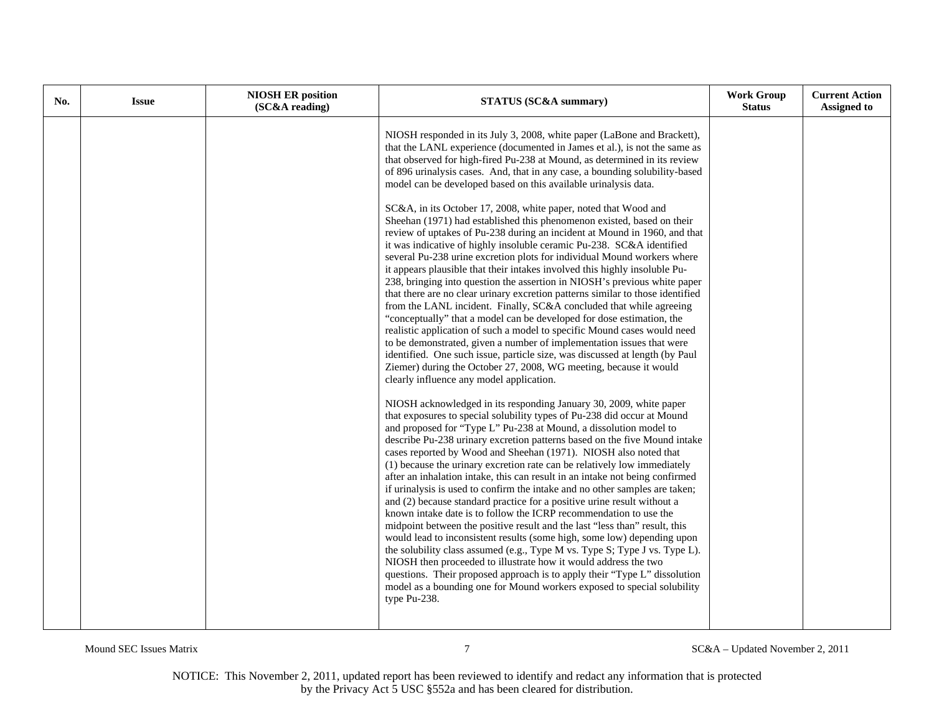| No. | <b>Issue</b> | <b>NIOSH ER position</b><br>(SC&A reading) | <b>STATUS (SC&amp;A summary)</b>                                                                                                                                                                                                                                                                                                                                                                                                                                                                                                                                                                                                                                                                                                                                                                                                                                                                                                                                                                                                                                                                                                                                                                                                                                                                                                                                                                                                                                                                                                                                                                                                                                                                                                                                                                                                                                                                                                                                                                                                                                                                                                                                                                                                                                                                                                                                                                                                                                                                                                                                                                                                                                                                                                                                        | <b>Work Group</b><br><b>Status</b> | <b>Current Action</b><br><b>Assigned to</b> |
|-----|--------------|--------------------------------------------|-------------------------------------------------------------------------------------------------------------------------------------------------------------------------------------------------------------------------------------------------------------------------------------------------------------------------------------------------------------------------------------------------------------------------------------------------------------------------------------------------------------------------------------------------------------------------------------------------------------------------------------------------------------------------------------------------------------------------------------------------------------------------------------------------------------------------------------------------------------------------------------------------------------------------------------------------------------------------------------------------------------------------------------------------------------------------------------------------------------------------------------------------------------------------------------------------------------------------------------------------------------------------------------------------------------------------------------------------------------------------------------------------------------------------------------------------------------------------------------------------------------------------------------------------------------------------------------------------------------------------------------------------------------------------------------------------------------------------------------------------------------------------------------------------------------------------------------------------------------------------------------------------------------------------------------------------------------------------------------------------------------------------------------------------------------------------------------------------------------------------------------------------------------------------------------------------------------------------------------------------------------------------------------------------------------------------------------------------------------------------------------------------------------------------------------------------------------------------------------------------------------------------------------------------------------------------------------------------------------------------------------------------------------------------------------------------------------------------------------------------------------------------|------------------------------------|---------------------------------------------|
|     |              |                                            | NIOSH responded in its July 3, 2008, white paper (LaBone and Brackett),<br>that the LANL experience (documented in James et al.), is not the same as<br>that observed for high-fired Pu-238 at Mound, as determined in its review<br>of 896 urinalysis cases. And, that in any case, a bounding solubility-based<br>model can be developed based on this available urinalysis data.<br>SC&A, in its October 17, 2008, white paper, noted that Wood and<br>Sheehan (1971) had established this phenomenon existed, based on their<br>review of uptakes of Pu-238 during an incident at Mound in 1960, and that<br>it was indicative of highly insoluble ceramic Pu-238. SC&A identified<br>several Pu-238 urine excretion plots for individual Mound workers where<br>it appears plausible that their intakes involved this highly insoluble Pu-<br>238, bringing into question the assertion in NIOSH's previous white paper<br>that there are no clear urinary excretion patterns similar to those identified<br>from the LANL incident. Finally, SC&A concluded that while agreeing<br>"conceptually" that a model can be developed for dose estimation, the<br>realistic application of such a model to specific Mound cases would need<br>to be demonstrated, given a number of implementation issues that were<br>identified. One such issue, particle size, was discussed at length (by Paul<br>Ziemer) during the October 27, 2008, WG meeting, because it would<br>clearly influence any model application.<br>NIOSH acknowledged in its responding January 30, 2009, white paper<br>that exposures to special solubility types of Pu-238 did occur at Mound<br>and proposed for "Type L" Pu-238 at Mound, a dissolution model to<br>describe Pu-238 urinary excretion patterns based on the five Mound intake<br>cases reported by Wood and Sheehan (1971). NIOSH also noted that<br>(1) because the urinary excretion rate can be relatively low immediately<br>after an inhalation intake, this can result in an intake not being confirmed<br>if urinalysis is used to confirm the intake and no other samples are taken;<br>and (2) because standard practice for a positive urine result without a<br>known intake date is to follow the ICRP recommendation to use the<br>midpoint between the positive result and the last "less than" result, this<br>would lead to inconsistent results (some high, some low) depending upon<br>the solubility class assumed (e.g., Type M vs. Type S; Type J vs. Type L).<br>NIOSH then proceeded to illustrate how it would address the two<br>questions. Their proposed approach is to apply their "Type L" dissolution<br>model as a bounding one for Mound workers exposed to special solubility<br>type Pu-238. |                                    |                                             |

Mound SEC Issues Matrix  $5C&A-U$ pdated November 2, 2011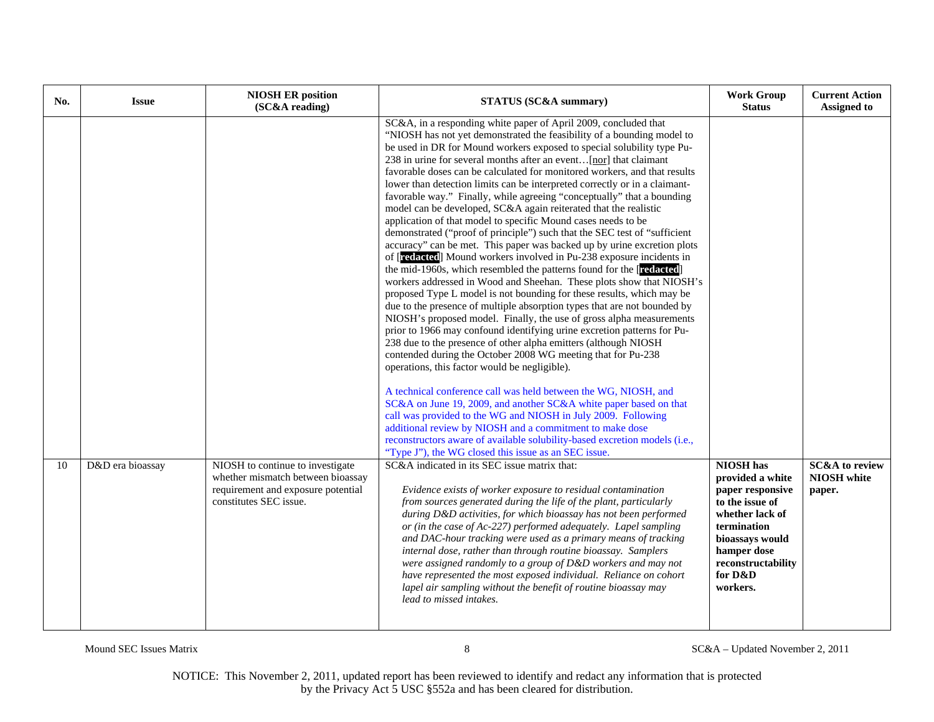| No. | <b>Issue</b>     | <b>NIOSH ER position</b><br>(SC&A reading)                                                        | <b>STATUS (SC&amp;A summary)</b>                                                                                                                                                                                                                                                                                                                                                                                                                                                                                                                                                                                                                                                                                                                                                                                                                                                                                                                                                                                                                                                                                                                                                                                                                                                                                                                                                                                                                                                                                                                                                                                                                                                                                                                                                                                                                                                                                                                                                                           | <b>Work Group</b><br><b>Status</b>                                                                                                                                       | <b>Current Action</b><br><b>Assigned to</b> |
|-----|------------------|---------------------------------------------------------------------------------------------------|------------------------------------------------------------------------------------------------------------------------------------------------------------------------------------------------------------------------------------------------------------------------------------------------------------------------------------------------------------------------------------------------------------------------------------------------------------------------------------------------------------------------------------------------------------------------------------------------------------------------------------------------------------------------------------------------------------------------------------------------------------------------------------------------------------------------------------------------------------------------------------------------------------------------------------------------------------------------------------------------------------------------------------------------------------------------------------------------------------------------------------------------------------------------------------------------------------------------------------------------------------------------------------------------------------------------------------------------------------------------------------------------------------------------------------------------------------------------------------------------------------------------------------------------------------------------------------------------------------------------------------------------------------------------------------------------------------------------------------------------------------------------------------------------------------------------------------------------------------------------------------------------------------------------------------------------------------------------------------------------------------|--------------------------------------------------------------------------------------------------------------------------------------------------------------------------|---------------------------------------------|
| 10  | D&D era bioassay | NIOSH to continue to investigate                                                                  | SC&A, in a responding white paper of April 2009, concluded that<br>"NIOSH has not yet demonstrated the feasibility of a bounding model to<br>be used in DR for Mound workers exposed to special solubility type Pu-<br>238 in urine for several months after an event [nor] that claimant<br>favorable doses can be calculated for monitored workers, and that results<br>lower than detection limits can be interpreted correctly or in a claimant-<br>favorable way." Finally, while agreeing "conceptually" that a bounding<br>model can be developed, SC&A again reiterated that the realistic<br>application of that model to specific Mound cases needs to be<br>demonstrated ("proof of principle") such that the SEC test of "sufficient<br>accuracy" can be met. This paper was backed up by urine excretion plots<br>of [redacted] Mound workers involved in Pu-238 exposure incidents in<br>the mid-1960s, which resembled the patterns found for the [redacted]<br>workers addressed in Wood and Sheehan. These plots show that NIOSH's<br>proposed Type L model is not bounding for these results, which may be<br>due to the presence of multiple absorption types that are not bounded by<br>NIOSH's proposed model. Finally, the use of gross alpha measurements<br>prior to 1966 may confound identifying urine excretion patterns for Pu-<br>238 due to the presence of other alpha emitters (although NIOSH<br>contended during the October 2008 WG meeting that for Pu-238<br>operations, this factor would be negligible).<br>A technical conference call was held between the WG, NIOSH, and<br>SC&A on June 19, 2009, and another SC&A white paper based on that<br>call was provided to the WG and NIOSH in July 2009. Following<br>additional review by NIOSH and a commitment to make dose<br>reconstructors aware of available solubility-based excretion models (i.e.,<br>"Type J"), the WG closed this issue as an SEC issue.<br>SC&A indicated in its SEC issue matrix that: | <b>NIOSH</b> has                                                                                                                                                         | <b>SC&amp;A</b> to review                   |
|     |                  | whether mismatch between bioassay<br>requirement and exposure potential<br>constitutes SEC issue. | Evidence exists of worker exposure to residual contamination<br>from sources generated during the life of the plant, particularly<br>during D&D activities, for which bioassay has not been performed<br>or (in the case of Ac-227) performed adequately. Lapel sampling<br>and DAC-hour tracking were used as a primary means of tracking<br>internal dose, rather than through routine bioassay. Samplers<br>were assigned randomly to a group of D&D workers and may not<br>have represented the most exposed individual. Reliance on cohort<br>lapel air sampling without the benefit of routine bioassay may<br>lead to missed intakes.                                                                                                                                                                                                                                                                                                                                                                                                                                                                                                                                                                                                                                                                                                                                                                                                                                                                                                                                                                                                                                                                                                                                                                                                                                                                                                                                                               | provided a white<br>paper responsive<br>to the issue of<br>whether lack of<br>termination<br>bioassays would<br>hamper dose<br>reconstructability<br>for D&D<br>workers. | NIOSH white<br>paper.                       |

Mound SEC Issues Matrix 8 SC&A – Updated November 2, 2011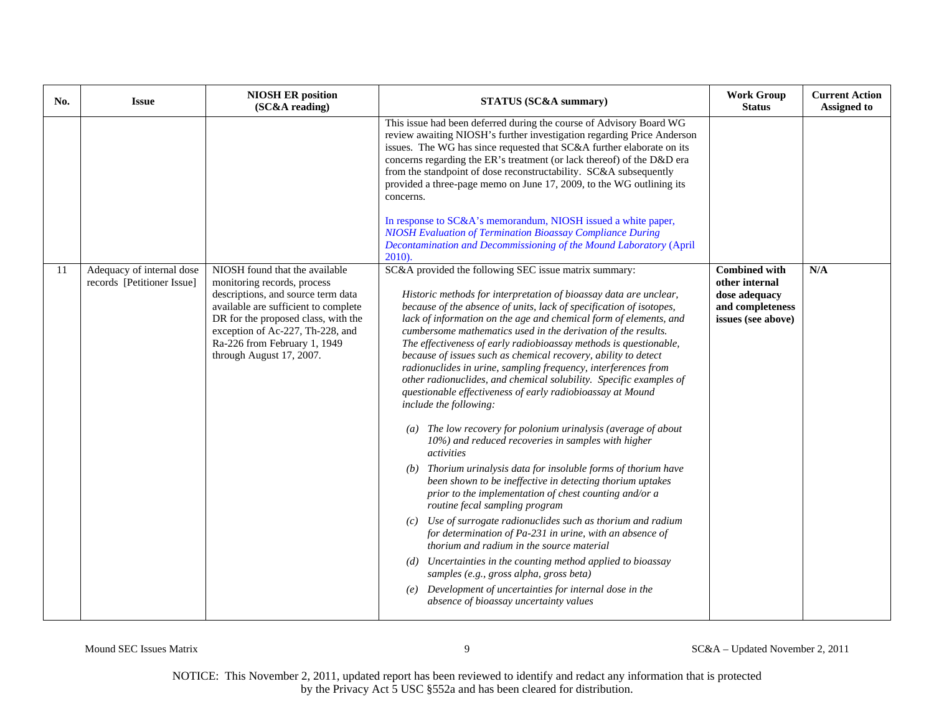| No. | <b>Issue</b>                                            | <b>NIOSH ER position</b><br>(SC&A reading)                                                                                                                                                                                                                                         | <b>STATUS (SC&amp;A summary)</b>                                                                                                                                                                                                                                                                                                                                                                                                                                                                                                                                                                                                                                                                                                                                                                                                                                                                                                                                                                                                                                                                                                                                                                                                                                                                                                                                                                                                                                                            | <b>Work Group</b><br><b>Status</b>                                                                | <b>Current Action</b><br><b>Assigned to</b> |
|-----|---------------------------------------------------------|------------------------------------------------------------------------------------------------------------------------------------------------------------------------------------------------------------------------------------------------------------------------------------|---------------------------------------------------------------------------------------------------------------------------------------------------------------------------------------------------------------------------------------------------------------------------------------------------------------------------------------------------------------------------------------------------------------------------------------------------------------------------------------------------------------------------------------------------------------------------------------------------------------------------------------------------------------------------------------------------------------------------------------------------------------------------------------------------------------------------------------------------------------------------------------------------------------------------------------------------------------------------------------------------------------------------------------------------------------------------------------------------------------------------------------------------------------------------------------------------------------------------------------------------------------------------------------------------------------------------------------------------------------------------------------------------------------------------------------------------------------------------------------------|---------------------------------------------------------------------------------------------------|---------------------------------------------|
|     |                                                         |                                                                                                                                                                                                                                                                                    | This issue had been deferred during the course of Advisory Board WG<br>review awaiting NIOSH's further investigation regarding Price Anderson<br>issues. The WG has since requested that SC&A further elaborate on its<br>concerns regarding the ER's treatment (or lack thereof) of the D&D era<br>from the standpoint of dose reconstructability. SC&A subsequently<br>provided a three-page memo on June 17, 2009, to the WG outlining its<br>concerns.<br>In response to SC&A's memorandum, NIOSH issued a white paper,                                                                                                                                                                                                                                                                                                                                                                                                                                                                                                                                                                                                                                                                                                                                                                                                                                                                                                                                                                 |                                                                                                   |                                             |
|     |                                                         |                                                                                                                                                                                                                                                                                    | <b>NIOSH Evaluation of Termination Bioassay Compliance During</b><br>Decontamination and Decommissioning of the Mound Laboratory (April<br>$2010$ ).                                                                                                                                                                                                                                                                                                                                                                                                                                                                                                                                                                                                                                                                                                                                                                                                                                                                                                                                                                                                                                                                                                                                                                                                                                                                                                                                        |                                                                                                   |                                             |
| 11  | Adequacy of internal dose<br>records [Petitioner Issue] | NIOSH found that the available<br>monitoring records, process<br>descriptions, and source term data<br>available are sufficient to complete<br>DR for the proposed class, with the<br>exception of Ac-227, Th-228, and<br>Ra-226 from February 1, 1949<br>through August 17, 2007. | SC&A provided the following SEC issue matrix summary:<br>Historic methods for interpretation of bioassay data are unclear,<br>because of the absence of units, lack of specification of isotopes,<br>lack of information on the age and chemical form of elements, and<br>cumbersome mathematics used in the derivation of the results.<br>The effectiveness of early radiobioassay methods is questionable,<br>because of issues such as chemical recovery, ability to detect<br>radionuclides in urine, sampling frequency, interferences from<br>other radionuclides, and chemical solubility. Specific examples of<br>questionable effectiveness of early radiobioassay at Mound<br>include the following:<br>$(a)$ The low recovery for polonium urinalysis (average of about<br>10%) and reduced recoveries in samples with higher<br><i>activities</i><br>(b) Thorium urinalysis data for insoluble forms of thorium have<br>been shown to be ineffective in detecting thorium uptakes<br>prior to the implementation of chest counting and/or a<br>routine fecal sampling program<br>Use of surrogate radionuclides such as thorium and radium<br>(c)<br>for determination of Pa-231 in urine, with an absence of<br>thorium and radium in the source material<br>Uncertainties in the counting method applied to bioassay<br>(d)<br>samples (e.g., gross alpha, gross beta)<br>(e) Development of uncertainties for internal dose in the<br>absence of bioassay uncertainty values | <b>Combined with</b><br>other internal<br>dose adequacy<br>and completeness<br>issues (see above) | N/A                                         |

Mound SEC Issues Matrix 9 SC&A – Updated November 2, 2011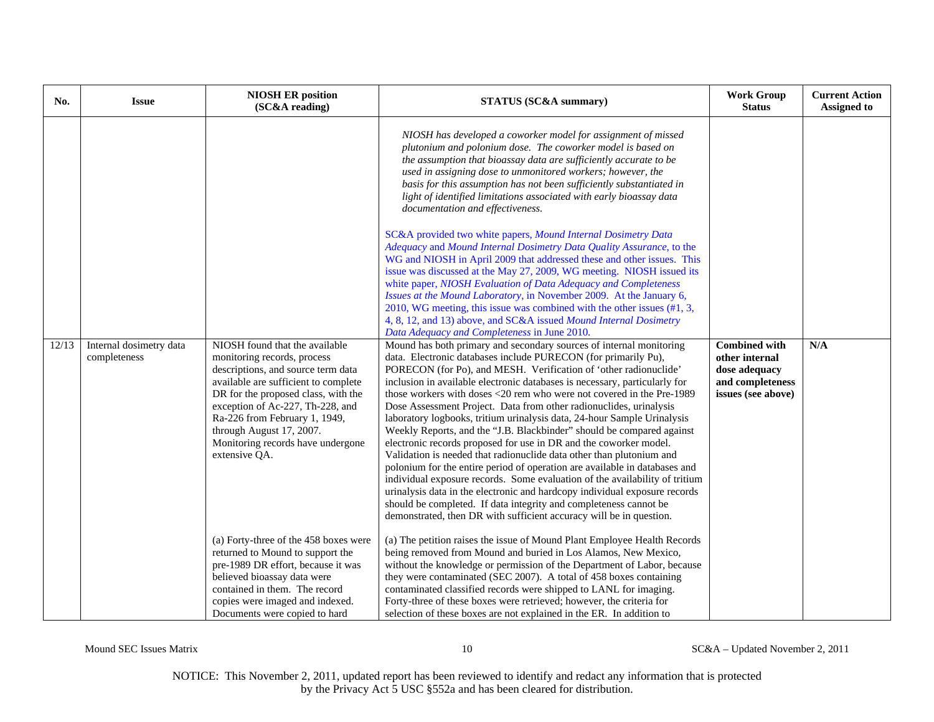| No.   | <b>Issue</b>                            | <b>NIOSH ER position</b><br>(SC&A reading)                                                                                                                                                                                                                                                                                                | <b>STATUS (SC&amp;A summary)</b>                                                                                                                                                                                                                                                                                                                                                                                                                                                                                                                                                                                                                                                                                                                                                                                                                                                                                                                                                                                                                                                                                                                                                                                                                                                                                                                                                                                                                                                                                                                                                                                                                                                                                                                                                                                                                                                                                                                                                                                                                                                                                                                             | <b>Work Group</b><br><b>Status</b>                                                                | <b>Current Action</b><br><b>Assigned to</b> |
|-------|-----------------------------------------|-------------------------------------------------------------------------------------------------------------------------------------------------------------------------------------------------------------------------------------------------------------------------------------------------------------------------------------------|--------------------------------------------------------------------------------------------------------------------------------------------------------------------------------------------------------------------------------------------------------------------------------------------------------------------------------------------------------------------------------------------------------------------------------------------------------------------------------------------------------------------------------------------------------------------------------------------------------------------------------------------------------------------------------------------------------------------------------------------------------------------------------------------------------------------------------------------------------------------------------------------------------------------------------------------------------------------------------------------------------------------------------------------------------------------------------------------------------------------------------------------------------------------------------------------------------------------------------------------------------------------------------------------------------------------------------------------------------------------------------------------------------------------------------------------------------------------------------------------------------------------------------------------------------------------------------------------------------------------------------------------------------------------------------------------------------------------------------------------------------------------------------------------------------------------------------------------------------------------------------------------------------------------------------------------------------------------------------------------------------------------------------------------------------------------------------------------------------------------------------------------------------------|---------------------------------------------------------------------------------------------------|---------------------------------------------|
| 12/13 | Internal dosimetry data<br>completeness | NIOSH found that the available<br>monitoring records, process<br>descriptions, and source term data<br>available are sufficient to complete<br>DR for the proposed class, with the<br>exception of Ac-227, Th-228, and<br>Ra-226 from February 1, 1949,<br>through August 17, 2007.<br>Monitoring records have undergone<br>extensive QA. | NIOSH has developed a coworker model for assignment of missed<br>plutonium and polonium dose. The coworker model is based on<br>the assumption that bioassay data are sufficiently accurate to be<br>used in assigning dose to unmonitored workers; however, the<br>basis for this assumption has not been sufficiently substantiated in<br>light of identified limitations associated with early bioassay data<br>documentation and effectiveness.<br>SC&A provided two white papers, Mound Internal Dosimetry Data<br>Adequacy and Mound Internal Dosimetry Data Quality Assurance, to the<br>WG and NIOSH in April 2009 that addressed these and other issues. This<br>issue was discussed at the May 27, 2009, WG meeting. NIOSH issued its<br>white paper, NIOSH Evaluation of Data Adequacy and Completeness<br>Issues at the Mound Laboratory, in November 2009. At the January 6,<br>2010, WG meeting, this issue was combined with the other issues $(\#1, 3, \#1)$<br>4, 8, 12, and 13) above, and SC&A issued Mound Internal Dosimetry<br>Data Adequacy and Completeness in June 2010.<br>Mound has both primary and secondary sources of internal monitoring<br>data. Electronic databases include PURECON (for primarily Pu),<br>PORECON (for Po), and MESH. Verification of 'other radionuclide'<br>inclusion in available electronic databases is necessary, particularly for<br>those workers with doses <20 rem who were not covered in the Pre-1989<br>Dose Assessment Project. Data from other radionuclides, urinalysis<br>laboratory logbooks, tritium urinalysis data, 24-hour Sample Urinalysis<br>Weekly Reports, and the "J.B. Blackbinder" should be compared against<br>electronic records proposed for use in DR and the coworker model.<br>Validation is needed that radionuclide data other than plutonium and<br>polonium for the entire period of operation are available in databases and<br>individual exposure records. Some evaluation of the availability of tritium<br>urinalysis data in the electronic and hardcopy individual exposure records<br>should be completed. If data integrity and completeness cannot be | <b>Combined with</b><br>other internal<br>dose adequacy<br>and completeness<br>issues (see above) | N/A                                         |
|       |                                         | (a) Forty-three of the 458 boxes were<br>returned to Mound to support the<br>pre-1989 DR effort, because it was<br>believed bioassay data were<br>contained in them. The record<br>copies were imaged and indexed.<br>Documents were copied to hard                                                                                       | demonstrated, then DR with sufficient accuracy will be in question.<br>(a) The petition raises the issue of Mound Plant Employee Health Records<br>being removed from Mound and buried in Los Alamos, New Mexico,<br>without the knowledge or permission of the Department of Labor, because<br>they were contaminated (SEC 2007). A total of 458 boxes containing<br>contaminated classified records were shipped to LANL for imaging.<br>Forty-three of these boxes were retrieved; however, the criteria for<br>selection of these boxes are not explained in the ER. In addition to                                                                                                                                                                                                                                                                                                                                                                                                                                                                                                                                                                                                                                                                                                                                                                                                                                                                                                                                                                                                                                                                                                                                                                                                                                                                                                                                                                                                                                                                                                                                                                      |                                                                                                   |                                             |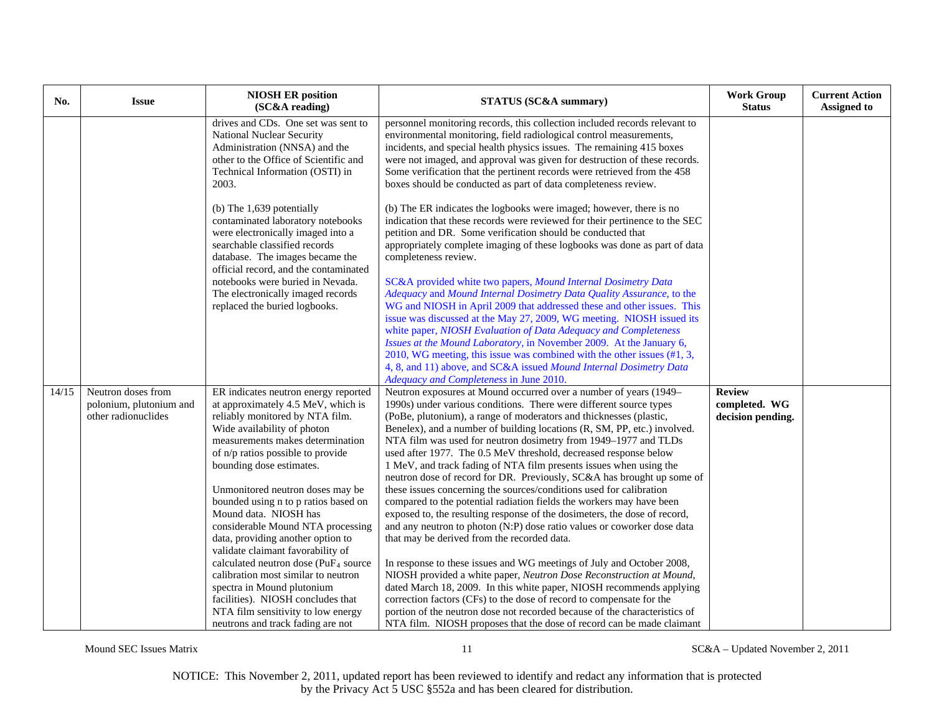| No.   | <b>Issue</b>                                                         | <b>NIOSH ER position</b><br>(SC&A reading)                                                                                                                                                                                                        | STATUS (SC&A summary)                                                                                                                                                                                                                                                                                                                                                                                                                                                                                                                                                            | <b>Work Group</b><br><b>Status</b>                  | <b>Current Action</b><br><b>Assigned to</b> |
|-------|----------------------------------------------------------------------|---------------------------------------------------------------------------------------------------------------------------------------------------------------------------------------------------------------------------------------------------|----------------------------------------------------------------------------------------------------------------------------------------------------------------------------------------------------------------------------------------------------------------------------------------------------------------------------------------------------------------------------------------------------------------------------------------------------------------------------------------------------------------------------------------------------------------------------------|-----------------------------------------------------|---------------------------------------------|
|       |                                                                      | drives and CDs. One set was sent to<br><b>National Nuclear Security</b><br>Administration (NNSA) and the<br>other to the Office of Scientific and<br>Technical Information (OSTI) in<br>2003.                                                     | personnel monitoring records, this collection included records relevant to<br>environmental monitoring, field radiological control measurements,<br>incidents, and special health physics issues. The remaining 415 boxes<br>were not imaged, and approval was given for destruction of these records.<br>Some verification that the pertinent records were retrieved from the 458<br>boxes should be conducted as part of data completeness review.                                                                                                                             |                                                     |                                             |
|       |                                                                      | (b) The 1,639 potentially<br>contaminated laboratory notebooks<br>were electronically imaged into a<br>searchable classified records<br>database. The images became the<br>official record, and the contaminated                                  | (b) The ER indicates the logbooks were imaged; however, there is no<br>indication that these records were reviewed for their pertinence to the SEC<br>petition and DR. Some verification should be conducted that<br>appropriately complete imaging of these logbooks was done as part of data<br>completeness review.                                                                                                                                                                                                                                                           |                                                     |                                             |
|       |                                                                      | notebooks were buried in Nevada.<br>The electronically imaged records<br>replaced the buried logbooks.                                                                                                                                            | SC&A provided white two papers, Mound Internal Dosimetry Data<br>Adequacy and Mound Internal Dosimetry Data Quality Assurance, to the<br>WG and NIOSH in April 2009 that addressed these and other issues. This<br>issue was discussed at the May 27, 2009, WG meeting. NIOSH issued its<br>white paper, NIOSH Evaluation of Data Adequacy and Completeness<br>Issues at the Mound Laboratory, in November 2009. At the January 6,<br>2010, WG meeting, this issue was combined with the other issues (#1, 3,                                                                    |                                                     |                                             |
|       |                                                                      |                                                                                                                                                                                                                                                   | 4, 8, and 11) above, and SC&A issued Mound Internal Dosimetry Data<br>Adequacy and Completeness in June 2010.                                                                                                                                                                                                                                                                                                                                                                                                                                                                    |                                                     |                                             |
| 14/15 | Neutron doses from<br>polonium, plutonium and<br>other radionuclides | ER indicates neutron energy reported<br>at approximately 4.5 MeV, which is<br>reliably monitored by NTA film.<br>Wide availability of photon<br>measurements makes determination<br>of n/p ratios possible to provide<br>bounding dose estimates. | Neutron exposures at Mound occurred over a number of years (1949-<br>1990s) under various conditions. There were different source types<br>(PoBe, plutonium), a range of moderators and thicknesses (plastic,<br>Benelex), and a number of building locations (R, SM, PP, etc.) involved.<br>NTA film was used for neutron dosimetry from 1949-1977 and TLDs<br>used after 1977. The 0.5 MeV threshold, decreased response below<br>1 MeV, and track fading of NTA film presents issues when using the<br>neutron dose of record for DR. Previously, SC&A has brought up some of | <b>Review</b><br>completed. WG<br>decision pending. |                                             |
|       |                                                                      | Unmonitored neutron doses may be<br>bounded using n to p ratios based on<br>Mound data. NIOSH has<br>considerable Mound NTA processing<br>data, providing another option to<br>validate claimant favorability of                                  | these issues concerning the sources/conditions used for calibration<br>compared to the potential radiation fields the workers may have been<br>exposed to, the resulting response of the dosimeters, the dose of record,<br>and any neutron to photon (N:P) dose ratio values or coworker dose data<br>that may be derived from the recorded data.                                                                                                                                                                                                                               |                                                     |                                             |
|       |                                                                      | calculated neutron dose ( $PuF4$ source<br>calibration most similar to neutron<br>spectra in Mound plutonium<br>facilities). NIOSH concludes that<br>NTA film sensitivity to low energy<br>neutrons and track fading are not                      | In response to these issues and WG meetings of July and October 2008,<br>NIOSH provided a white paper, Neutron Dose Reconstruction at Mound,<br>dated March 18, 2009. In this white paper, NIOSH recommends applying<br>correction factors (CFs) to the dose of record to compensate for the<br>portion of the neutron dose not recorded because of the characteristics of<br>NTA film. NIOSH proposes that the dose of record can be made claimant                                                                                                                              |                                                     |                                             |

Mound SEC Issues Matrix 11 SC&A – Updated November 2, 2011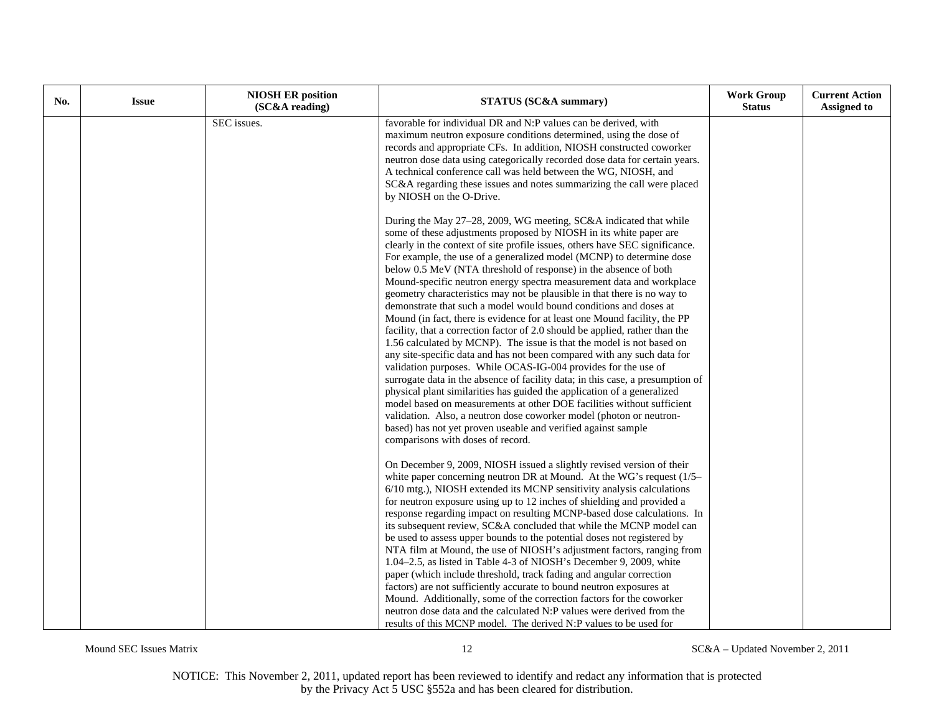| No. | <b>Issue</b> | <b>NIOSH ER position</b><br>(SC&A reading) | STATUS (SC&A summary)                                                                                                                                                                                                                                                                                                                                                                                                                                                                                                                                                                                                                                                                                                                                                                                                                                                                                                                                                                                                                                                                                                                                                                                                                                                                                                                                                                               | <b>Work Group</b><br><b>Status</b> | <b>Current Action</b><br><b>Assigned to</b> |
|-----|--------------|--------------------------------------------|-----------------------------------------------------------------------------------------------------------------------------------------------------------------------------------------------------------------------------------------------------------------------------------------------------------------------------------------------------------------------------------------------------------------------------------------------------------------------------------------------------------------------------------------------------------------------------------------------------------------------------------------------------------------------------------------------------------------------------------------------------------------------------------------------------------------------------------------------------------------------------------------------------------------------------------------------------------------------------------------------------------------------------------------------------------------------------------------------------------------------------------------------------------------------------------------------------------------------------------------------------------------------------------------------------------------------------------------------------------------------------------------------------|------------------------------------|---------------------------------------------|
|     |              | SEC issues.                                | favorable for individual DR and N:P values can be derived, with<br>maximum neutron exposure conditions determined, using the dose of<br>records and appropriate CFs. In addition, NIOSH constructed coworker<br>neutron dose data using categorically recorded dose data for certain years.<br>A technical conference call was held between the WG, NIOSH, and<br>SC&A regarding these issues and notes summarizing the call were placed<br>by NIOSH on the O-Drive.                                                                                                                                                                                                                                                                                                                                                                                                                                                                                                                                                                                                                                                                                                                                                                                                                                                                                                                                |                                    |                                             |
|     |              |                                            | During the May 27-28, 2009, WG meeting, SC&A indicated that while<br>some of these adjustments proposed by NIOSH in its white paper are<br>clearly in the context of site profile issues, others have SEC significance.<br>For example, the use of a generalized model (MCNP) to determine dose<br>below 0.5 MeV (NTA threshold of response) in the absence of both<br>Mound-specific neutron energy spectra measurement data and workplace<br>geometry characteristics may not be plausible in that there is no way to<br>demonstrate that such a model would bound conditions and doses at<br>Mound (in fact, there is evidence for at least one Mound facility, the PP<br>facility, that a correction factor of 2.0 should be applied, rather than the<br>1.56 calculated by MCNP). The issue is that the model is not based on<br>any site-specific data and has not been compared with any such data for<br>validation purposes. While OCAS-IG-004 provides for the use of<br>surrogate data in the absence of facility data; in this case, a presumption of<br>physical plant similarities has guided the application of a generalized<br>model based on measurements at other DOE facilities without sufficient<br>validation. Also, a neutron dose coworker model (photon or neutron-<br>based) has not yet proven useable and verified against sample<br>comparisons with doses of record. |                                    |                                             |
|     |              |                                            | On December 9, 2009, NIOSH issued a slightly revised version of their<br>white paper concerning neutron DR at Mound. At the WG's request (1/5–<br>6/10 mtg.), NIOSH extended its MCNP sensitivity analysis calculations<br>for neutron exposure using up to 12 inches of shielding and provided a<br>response regarding impact on resulting MCNP-based dose calculations. In<br>its subsequent review, SC&A concluded that while the MCNP model can<br>be used to assess upper bounds to the potential doses not registered by<br>NTA film at Mound, the use of NIOSH's adjustment factors, ranging from<br>1.04-2.5, as listed in Table 4-3 of NIOSH's December 9, 2009, white<br>paper (which include threshold, track fading and angular correction<br>factors) are not sufficiently accurate to bound neutron exposures at<br>Mound. Additionally, some of the correction factors for the coworker<br>neutron dose data and the calculated N:P values were derived from the<br>results of this MCNP model. The derived N:P values to be used for                                                                                                                                                                                                                                                                                                                                                |                                    |                                             |

Mound SEC Issues Matrix 12 SC&A – Updated November 2, 2011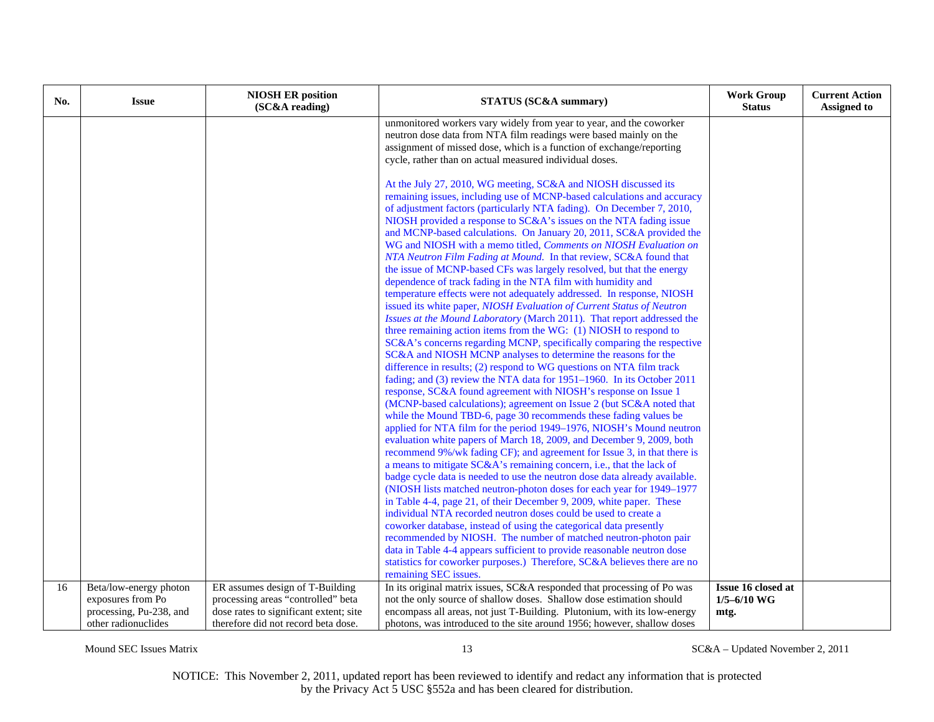| No. | <b>Issue</b>                                   | <b>NIOSH ER position</b><br>(SC&A reading)                                    | <b>STATUS (SC&amp;A summary)</b>                                                                                                                    | <b>Work Group</b><br><b>Status</b> | <b>Current Action</b><br><b>Assigned to</b> |
|-----|------------------------------------------------|-------------------------------------------------------------------------------|-----------------------------------------------------------------------------------------------------------------------------------------------------|------------------------------------|---------------------------------------------|
|     |                                                |                                                                               | unmonitored workers vary widely from year to year, and the coworker<br>neutron dose data from NTA film readings were based mainly on the            |                                    |                                             |
|     |                                                |                                                                               | assignment of missed dose, which is a function of exchange/reporting<br>cycle, rather than on actual measured individual doses.                     |                                    |                                             |
|     |                                                |                                                                               | At the July 27, 2010, WG meeting, SC&A and NIOSH discussed its                                                                                      |                                    |                                             |
|     |                                                |                                                                               | remaining issues, including use of MCNP-based calculations and accuracy<br>of adjustment factors (particularly NTA fading). On December 7, 2010,    |                                    |                                             |
|     |                                                |                                                                               | NIOSH provided a response to SC&A's issues on the NTA fading issue                                                                                  |                                    |                                             |
|     |                                                |                                                                               | and MCNP-based calculations. On January 20, 2011, SC&A provided the<br>WG and NIOSH with a memo titled, Comments on NIOSH Evaluation on             |                                    |                                             |
|     |                                                |                                                                               | NTA Neutron Film Fading at Mound. In that review, SC&A found that                                                                                   |                                    |                                             |
|     |                                                |                                                                               | the issue of MCNP-based CFs was largely resolved, but that the energy                                                                               |                                    |                                             |
|     |                                                |                                                                               | dependence of track fading in the NTA film with humidity and<br>temperature effects were not adequately addressed. In response, NIOSH               |                                    |                                             |
|     |                                                |                                                                               | issued its white paper, NIOSH Evaluation of Current Status of Neutron                                                                               |                                    |                                             |
|     |                                                |                                                                               | Issues at the Mound Laboratory (March 2011). That report addressed the<br>three remaining action items from the WG: (1) NIOSH to respond to         |                                    |                                             |
|     |                                                |                                                                               | SC&A's concerns regarding MCNP, specifically comparing the respective                                                                               |                                    |                                             |
|     |                                                |                                                                               | SC&A and NIOSH MCNP analyses to determine the reasons for the                                                                                       |                                    |                                             |
|     |                                                |                                                                               | difference in results; (2) respond to WG questions on NTA film track<br>fading; and (3) review the NTA data for 1951–1960. In its October 2011      |                                    |                                             |
|     |                                                |                                                                               | response, SC&A found agreement with NIOSH's response on Issue 1                                                                                     |                                    |                                             |
|     |                                                |                                                                               | (MCNP-based calculations); agreement on Issue 2 (but SC&A noted that<br>while the Mound TBD-6, page 30 recommends these fading values be            |                                    |                                             |
|     |                                                |                                                                               | applied for NTA film for the period 1949–1976, NIOSH's Mound neutron                                                                                |                                    |                                             |
|     |                                                |                                                                               | evaluation white papers of March 18, 2009, and December 9, 2009, both                                                                               |                                    |                                             |
|     |                                                |                                                                               | recommend 9%/wk fading CF); and agreement for Issue 3, in that there is<br>a means to mitigate SC&A's remaining concern, i.e., that the lack of     |                                    |                                             |
|     |                                                |                                                                               | badge cycle data is needed to use the neutron dose data already available.                                                                          |                                    |                                             |
|     |                                                |                                                                               | (NIOSH lists matched neutron-photon doses for each year for 1949–1977<br>in Table 4-4, page 21, of their December 9, 2009, white paper. These       |                                    |                                             |
|     |                                                |                                                                               | individual NTA recorded neutron doses could be used to create a                                                                                     |                                    |                                             |
|     |                                                |                                                                               | coworker database, instead of using the categorical data presently<br>recommended by NIOSH. The number of matched neutron-photon pair               |                                    |                                             |
|     |                                                |                                                                               | data in Table 4-4 appears sufficient to provide reasonable neutron dose                                                                             |                                    |                                             |
|     |                                                |                                                                               | statistics for coworker purposes.) Therefore, SC&A believes there are no                                                                            |                                    |                                             |
| 16  | Beta/low-energy photon                         | ER assumes design of T-Building                                               | remaining SEC issues.<br>In its original matrix issues, SC&A responded that processing of Po was                                                    | Issue 16 closed at                 |                                             |
|     | exposures from Po                              | processing areas "controlled" beta                                            | not the only source of shallow doses. Shallow dose estimation should                                                                                | $1/5 - 6/10$ WG                    |                                             |
|     | processing, Pu-238, and<br>other radionuclides | dose rates to significant extent; site<br>therefore did not record beta dose. | encompass all areas, not just T-Building. Plutonium, with its low-energy<br>photons, was introduced to the site around 1956; however, shallow doses | mtg.                               |                                             |

Mound SEC Issues Matrix 13 SC&A – Updated November 2, 2011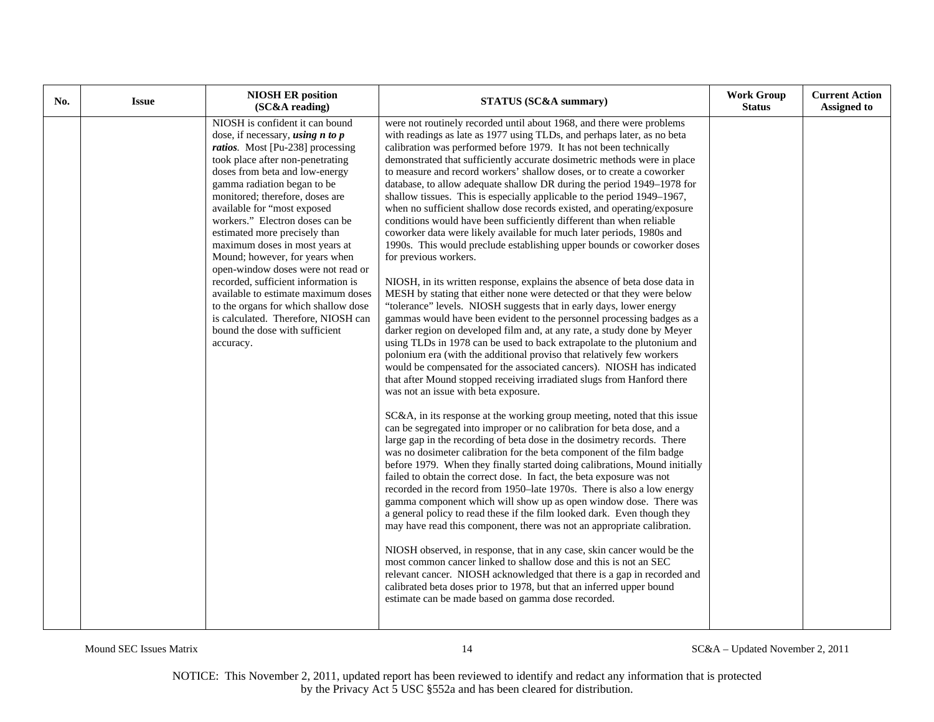| No. | <b>Issue</b> | <b>NIOSH ER position</b><br>(SC&A reading)                                                                                                                                                                                                                                                                                                                                                                                                                                                                                                                                                                                                                                                 | <b>STATUS (SC&amp;A summary)</b>                                                                                                                                                                                                                                                                                                                                                                                                                                                                                                                                                                                                                                                                                                                                                                                                                                                                                                                                                                                                                                                                                                                                                                                                                                                                                                                                                                                                                                                                                                                                                                                                                                                                                                                                                                                                                                                                                                                                                                                                                                                                                                                                                                                                                                                                                                                                                                                                                                                                                                                                                                                                                                                                                                    | <b>Work Group</b><br><b>Status</b> | <b>Current Action</b><br><b>Assigned to</b> |
|-----|--------------|--------------------------------------------------------------------------------------------------------------------------------------------------------------------------------------------------------------------------------------------------------------------------------------------------------------------------------------------------------------------------------------------------------------------------------------------------------------------------------------------------------------------------------------------------------------------------------------------------------------------------------------------------------------------------------------------|-------------------------------------------------------------------------------------------------------------------------------------------------------------------------------------------------------------------------------------------------------------------------------------------------------------------------------------------------------------------------------------------------------------------------------------------------------------------------------------------------------------------------------------------------------------------------------------------------------------------------------------------------------------------------------------------------------------------------------------------------------------------------------------------------------------------------------------------------------------------------------------------------------------------------------------------------------------------------------------------------------------------------------------------------------------------------------------------------------------------------------------------------------------------------------------------------------------------------------------------------------------------------------------------------------------------------------------------------------------------------------------------------------------------------------------------------------------------------------------------------------------------------------------------------------------------------------------------------------------------------------------------------------------------------------------------------------------------------------------------------------------------------------------------------------------------------------------------------------------------------------------------------------------------------------------------------------------------------------------------------------------------------------------------------------------------------------------------------------------------------------------------------------------------------------------------------------------------------------------------------------------------------------------------------------------------------------------------------------------------------------------------------------------------------------------------------------------------------------------------------------------------------------------------------------------------------------------------------------------------------------------------------------------------------------------------------------------------------------------|------------------------------------|---------------------------------------------|
|     |              | NIOSH is confident it can bound<br>dose, if necessary, <i>using</i> $n$ to $p$<br><i>ratios.</i> Most [Pu-238] processing<br>took place after non-penetrating<br>doses from beta and low-energy<br>gamma radiation began to be<br>monitored; therefore, doses are<br>available for "most exposed<br>workers." Electron doses can be<br>estimated more precisely than<br>maximum doses in most years at<br>Mound; however, for years when<br>open-window doses were not read or<br>recorded, sufficient information is<br>available to estimate maximum doses<br>to the organs for which shallow dose<br>is calculated. Therefore, NIOSH can<br>bound the dose with sufficient<br>accuracy. | were not routinely recorded until about 1968, and there were problems<br>with readings as late as 1977 using TLDs, and perhaps later, as no beta<br>calibration was performed before 1979. It has not been technically<br>demonstrated that sufficiently accurate dosimetric methods were in place<br>to measure and record workers' shallow doses, or to create a coworker<br>database, to allow adequate shallow DR during the period 1949-1978 for<br>shallow tissues. This is especially applicable to the period 1949–1967,<br>when no sufficient shallow dose records existed, and operating/exposure<br>conditions would have been sufficiently different than when reliable<br>coworker data were likely available for much later periods, 1980s and<br>1990s. This would preclude establishing upper bounds or coworker doses<br>for previous workers.<br>NIOSH, in its written response, explains the absence of beta dose data in<br>MESH by stating that either none were detected or that they were below<br>"tolerance" levels. NIOSH suggests that in early days, lower energy<br>gammas would have been evident to the personnel processing badges as a<br>darker region on developed film and, at any rate, a study done by Meyer<br>using TLDs in 1978 can be used to back extrapolate to the plutonium and<br>polonium era (with the additional proviso that relatively few workers<br>would be compensated for the associated cancers). NIOSH has indicated<br>that after Mound stopped receiving irradiated slugs from Hanford there<br>was not an issue with beta exposure.<br>SC&A, in its response at the working group meeting, noted that this issue<br>can be segregated into improper or no calibration for beta dose, and a<br>large gap in the recording of beta dose in the dosimetry records. There<br>was no dosimeter calibration for the beta component of the film badge<br>before 1979. When they finally started doing calibrations, Mound initially<br>failed to obtain the correct dose. In fact, the beta exposure was not<br>recorded in the record from 1950–late 1970s. There is also a low energy<br>gamma component which will show up as open window dose. There was<br>a general policy to read these if the film looked dark. Even though they<br>may have read this component, there was not an appropriate calibration.<br>NIOSH observed, in response, that in any case, skin cancer would be the<br>most common cancer linked to shallow dose and this is not an SEC<br>relevant cancer. NIOSH acknowledged that there is a gap in recorded and<br>calibrated beta doses prior to 1978, but that an inferred upper bound<br>estimate can be made based on gamma dose recorded. |                                    |                                             |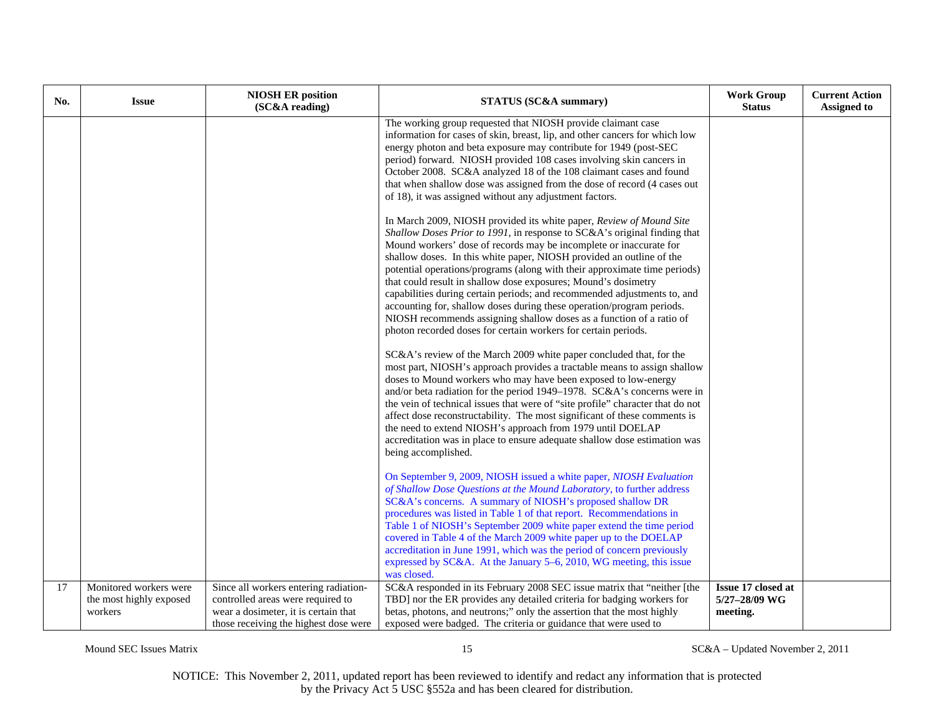| No. | <b>Issue</b>                                                 | <b>NIOSH ER position</b><br>(SC&A reading)                                                                                                                  | <b>STATUS (SC&amp;A summary)</b>                                                                                                                                                                                                                                                                                                                                                                                                                                                                                                                                                                                                                                                                                                            | <b>Work Group</b><br><b>Status</b>              | <b>Current Action</b><br><b>Assigned to</b> |
|-----|--------------------------------------------------------------|-------------------------------------------------------------------------------------------------------------------------------------------------------------|---------------------------------------------------------------------------------------------------------------------------------------------------------------------------------------------------------------------------------------------------------------------------------------------------------------------------------------------------------------------------------------------------------------------------------------------------------------------------------------------------------------------------------------------------------------------------------------------------------------------------------------------------------------------------------------------------------------------------------------------|-------------------------------------------------|---------------------------------------------|
|     |                                                              |                                                                                                                                                             | The working group requested that NIOSH provide claimant case<br>information for cases of skin, breast, lip, and other cancers for which low<br>energy photon and beta exposure may contribute for 1949 (post-SEC<br>period) forward. NIOSH provided 108 cases involving skin cancers in<br>October 2008. SC&A analyzed 18 of the 108 claimant cases and found<br>that when shallow dose was assigned from the dose of record (4 cases out<br>of 18), it was assigned without any adjustment factors.                                                                                                                                                                                                                                        |                                                 |                                             |
|     |                                                              |                                                                                                                                                             | In March 2009, NIOSH provided its white paper, Review of Mound Site<br>Shallow Doses Prior to 1991, in response to SC&A's original finding that<br>Mound workers' dose of records may be incomplete or inaccurate for<br>shallow doses. In this white paper, NIOSH provided an outline of the<br>potential operations/programs (along with their approximate time periods)<br>that could result in shallow dose exposures; Mound's dosimetry<br>capabilities during certain periods; and recommended adjustments to, and<br>accounting for, shallow doses during these operation/program periods.<br>NIOSH recommends assigning shallow doses as a function of a ratio of<br>photon recorded doses for certain workers for certain periods. |                                                 |                                             |
|     |                                                              |                                                                                                                                                             | SC&A's review of the March 2009 white paper concluded that, for the<br>most part, NIOSH's approach provides a tractable means to assign shallow<br>doses to Mound workers who may have been exposed to low-energy<br>and/or beta radiation for the period 1949–1978. SC&A's concerns were in<br>the vein of technical issues that were of "site profile" character that do not<br>affect dose reconstructability. The most significant of these comments is<br>the need to extend NIOSH's approach from 1979 until DOELAP<br>accreditation was in place to ensure adequate shallow dose estimation was<br>being accomplished.                                                                                                               |                                                 |                                             |
|     |                                                              |                                                                                                                                                             | On September 9, 2009, NIOSH issued a white paper, NIOSH Evaluation<br>of Shallow Dose Questions at the Mound Laboratory, to further address<br>SC&A's concerns. A summary of NIOSH's proposed shallow DR<br>procedures was listed in Table 1 of that report. Recommendations in<br>Table 1 of NIOSH's September 2009 white paper extend the time period<br>covered in Table 4 of the March 2009 white paper up to the DOELAP<br>accreditation in June 1991, which was the period of concern previously<br>expressed by SC&A. At the January 5–6, 2010, WG meeting, this issue<br>was closed.                                                                                                                                                |                                                 |                                             |
| 17  | Monitored workers were<br>the most highly exposed<br>workers | Since all workers entering radiation-<br>controlled areas were required to<br>wear a dosimeter, it is certain that<br>those receiving the highest dose were | SC&A responded in its February 2008 SEC issue matrix that "neither [the<br>TBD] nor the ER provides any detailed criteria for badging workers for<br>betas, photons, and neutrons;" only the assertion that the most highly<br>exposed were badged. The criteria or guidance that were used to                                                                                                                                                                                                                                                                                                                                                                                                                                              | Issue 17 closed at<br>5/27-28/09 WG<br>meeting. |                                             |

Mound SEC Issues Matrix 15 SC&A – Updated November 2, 2011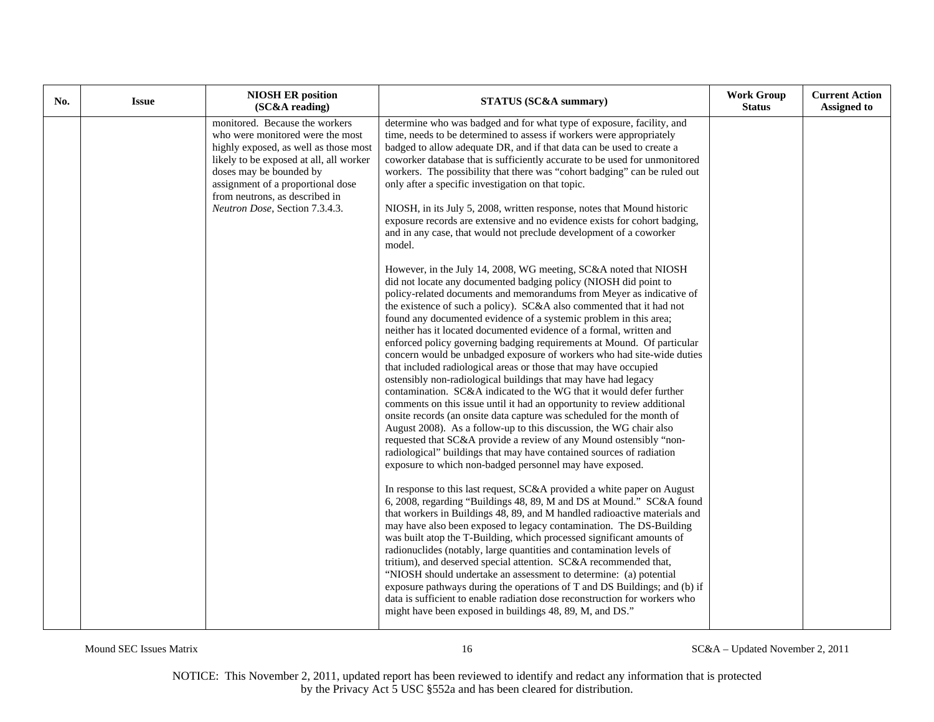| No. | <b>Issue</b> | <b>NIOSH ER position</b><br>(SC&A reading)                                                                                                                                                                                                                                                 | <b>STATUS (SC&amp;A summary)</b>                                                                                                                                                                                                                                                                                                                                                                                                                                                                                                                                                                                                                                                                                                                                                                                                                                                                                                                                                                                                                                                                                                                                                                                                                                                                                                                                                                                                                                                                                                                                                                                                                                                                                                                                                                                                                                                                                                                                                                                                                                                                                                                                                                                                                                                                                                                                                                                                                                                                                                                                                                                                                                                                                                                 | <b>Work Group</b><br><b>Status</b> | <b>Current Action</b><br><b>Assigned to</b> |
|-----|--------------|--------------------------------------------------------------------------------------------------------------------------------------------------------------------------------------------------------------------------------------------------------------------------------------------|--------------------------------------------------------------------------------------------------------------------------------------------------------------------------------------------------------------------------------------------------------------------------------------------------------------------------------------------------------------------------------------------------------------------------------------------------------------------------------------------------------------------------------------------------------------------------------------------------------------------------------------------------------------------------------------------------------------------------------------------------------------------------------------------------------------------------------------------------------------------------------------------------------------------------------------------------------------------------------------------------------------------------------------------------------------------------------------------------------------------------------------------------------------------------------------------------------------------------------------------------------------------------------------------------------------------------------------------------------------------------------------------------------------------------------------------------------------------------------------------------------------------------------------------------------------------------------------------------------------------------------------------------------------------------------------------------------------------------------------------------------------------------------------------------------------------------------------------------------------------------------------------------------------------------------------------------------------------------------------------------------------------------------------------------------------------------------------------------------------------------------------------------------------------------------------------------------------------------------------------------------------------------------------------------------------------------------------------------------------------------------------------------------------------------------------------------------------------------------------------------------------------------------------------------------------------------------------------------------------------------------------------------------------------------------------------------------------------------------------------------|------------------------------------|---------------------------------------------|
|     |              | monitored. Because the workers<br>who were monitored were the most<br>highly exposed, as well as those most<br>likely to be exposed at all, all worker<br>doses may be bounded by<br>assignment of a proportional dose<br>from neutrons, as described in<br>Neutron Dose, Section 7.3.4.3. | determine who was badged and for what type of exposure, facility, and<br>time, needs to be determined to assess if workers were appropriately<br>badged to allow adequate DR, and if that data can be used to create a<br>coworker database that is sufficiently accurate to be used for unmonitored<br>workers. The possibility that there was "cohort badging" can be ruled out<br>only after a specific investigation on that topic.<br>NIOSH, in its July 5, 2008, written response, notes that Mound historic<br>exposure records are extensive and no evidence exists for cohort badging,<br>and in any case, that would not preclude development of a coworker<br>model.<br>However, in the July 14, 2008, WG meeting, SC&A noted that NIOSH<br>did not locate any documented badging policy (NIOSH did point to<br>policy-related documents and memorandums from Meyer as indicative of<br>the existence of such a policy). SC&A also commented that it had not<br>found any documented evidence of a systemic problem in this area;<br>neither has it located documented evidence of a formal, written and<br>enforced policy governing badging requirements at Mound. Of particular<br>concern would be unbadged exposure of workers who had site-wide duties<br>that included radiological areas or those that may have occupied<br>ostensibly non-radiological buildings that may have had legacy<br>contamination. SC&A indicated to the WG that it would defer further<br>comments on this issue until it had an opportunity to review additional<br>onsite records (an onsite data capture was scheduled for the month of<br>August 2008). As a follow-up to this discussion, the WG chair also<br>requested that SC&A provide a review of any Mound ostensibly "non-<br>radiological" buildings that may have contained sources of radiation<br>exposure to which non-badged personnel may have exposed.<br>In response to this last request, SC&A provided a white paper on August<br>6, 2008, regarding "Buildings 48, 89, M and DS at Mound." SC&A found<br>that workers in Buildings 48, 89, and M handled radioactive materials and<br>may have also been exposed to legacy contamination. The DS-Building<br>was built atop the T-Building, which processed significant amounts of<br>radionuclides (notably, large quantities and contamination levels of<br>tritium), and deserved special attention. SC&A recommended that,<br>"NIOSH should undertake an assessment to determine: (a) potential<br>exposure pathways during the operations of T and DS Buildings; and (b) if<br>data is sufficient to enable radiation dose reconstruction for workers who<br>might have been exposed in buildings 48, 89, M, and DS." |                                    |                                             |

Mound SEC Issues Matrix 16 SC&A – Updated November 2, 2011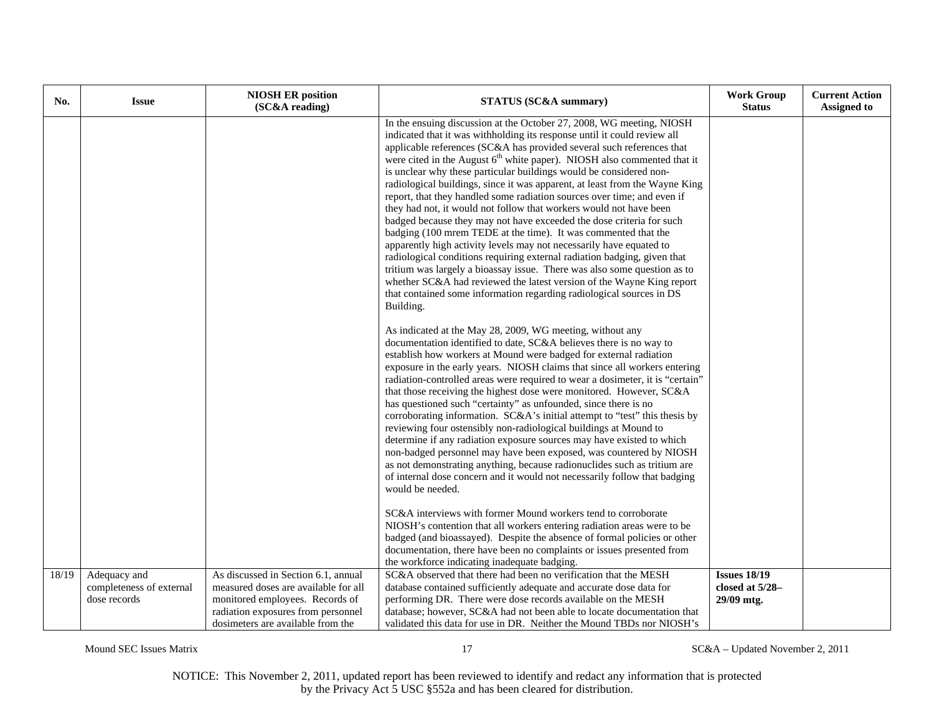| No.   | <b>Issue</b>                                             | <b>NIOSH ER position</b><br>(SC&A reading)                                                                                                                                                | <b>STATUS (SC&amp;A summary)</b>                                                                                                                                                                                                                                                                                                                                                                                                                                                                                                                                                                                                                                                                                                                                                                                                                                                                                                                                                                                                                                                                                                                    | <b>Work Group</b><br><b>Status</b>                   | <b>Current Action</b><br><b>Assigned to</b> |
|-------|----------------------------------------------------------|-------------------------------------------------------------------------------------------------------------------------------------------------------------------------------------------|-----------------------------------------------------------------------------------------------------------------------------------------------------------------------------------------------------------------------------------------------------------------------------------------------------------------------------------------------------------------------------------------------------------------------------------------------------------------------------------------------------------------------------------------------------------------------------------------------------------------------------------------------------------------------------------------------------------------------------------------------------------------------------------------------------------------------------------------------------------------------------------------------------------------------------------------------------------------------------------------------------------------------------------------------------------------------------------------------------------------------------------------------------|------------------------------------------------------|---------------------------------------------|
|       |                                                          |                                                                                                                                                                                           | In the ensuing discussion at the October 27, 2008, WG meeting, NIOSH<br>indicated that it was withholding its response until it could review all<br>applicable references (SC&A has provided several such references that<br>were cited in the August $6th$ white paper). NIOSH also commented that it<br>is unclear why these particular buildings would be considered non-<br>radiological buildings, since it was apparent, at least from the Wayne King<br>report, that they handled some radiation sources over time; and even if<br>they had not, it would not follow that workers would not have been<br>badged because they may not have exceeded the dose criteria for such<br>badging (100 mrem TEDE at the time). It was commented that the<br>apparently high activity levels may not necessarily have equated to<br>radiological conditions requiring external radiation badging, given that<br>tritium was largely a bioassay issue. There was also some question as to<br>whether SC&A had reviewed the latest version of the Wayne King report<br>that contained some information regarding radiological sources in DS<br>Building. |                                                      |                                             |
|       |                                                          |                                                                                                                                                                                           | As indicated at the May 28, 2009, WG meeting, without any<br>documentation identified to date, SC&A believes there is no way to<br>establish how workers at Mound were badged for external radiation<br>exposure in the early years. NIOSH claims that since all workers entering<br>radiation-controlled areas were required to wear a dosimeter, it is "certain"<br>that those receiving the highest dose were monitored. However, SC&A<br>has questioned such "certainty" as unfounded, since there is no<br>corroborating information. SC&A's initial attempt to "test" this thesis by<br>reviewing four ostensibly non-radiological buildings at Mound to<br>determine if any radiation exposure sources may have existed to which<br>non-badged personnel may have been exposed, was countered by NIOSH<br>as not demonstrating anything, because radionuclides such as tritium are<br>of internal dose concern and it would not necessarily follow that badging<br>would be needed.                                                                                                                                                          |                                                      |                                             |
|       |                                                          |                                                                                                                                                                                           | SC&A interviews with former Mound workers tend to corroborate<br>NIOSH's contention that all workers entering radiation areas were to be<br>badged (and bioassayed). Despite the absence of formal policies or other<br>documentation, there have been no complaints or issues presented from<br>the workforce indicating inadequate badging.                                                                                                                                                                                                                                                                                                                                                                                                                                                                                                                                                                                                                                                                                                                                                                                                       |                                                      |                                             |
| 18/19 | Adequacy and<br>completeness of external<br>dose records | As discussed in Section 6.1, annual<br>measured doses are available for all<br>monitored employees. Records of<br>radiation exposures from personnel<br>dosimeters are available from the | SC&A observed that there had been no verification that the MESH<br>database contained sufficiently adequate and accurate dose data for<br>performing DR. There were dose records available on the MESH<br>database; however, SC&A had not been able to locate documentation that<br>validated this data for use in DR. Neither the Mound TBDs nor NIOSH's                                                                                                                                                                                                                                                                                                                                                                                                                                                                                                                                                                                                                                                                                                                                                                                           | <b>Issues 18/19</b><br>closed at 5/28-<br>29/09 mtg. |                                             |

Mound SEC Issues Matrix 17 SC&A – Updated November 2, 2011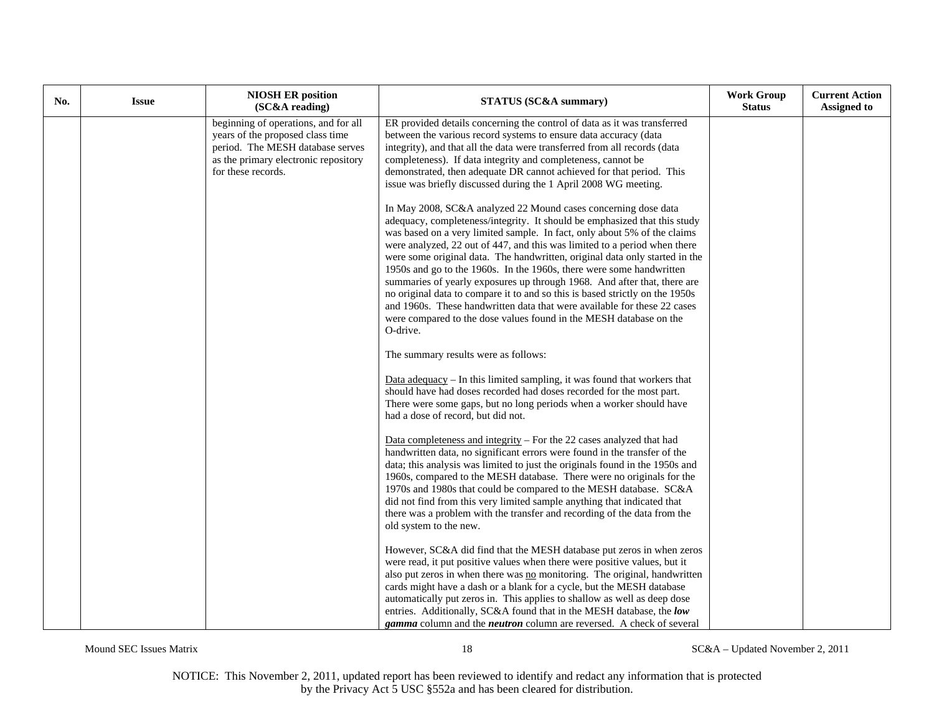| No. | <b>Issue</b> | <b>NIOSH ER position</b><br>(SC&A reading)                                                                                                                                 | <b>STATUS (SC&amp;A summary)</b>                                                                                                                                                                                                                                                                                                                                                                                                                                                                                                                                                                                                                                                                                                                                                      | <b>Work Group</b><br><b>Status</b> | <b>Current Action</b><br><b>Assigned to</b> |
|-----|--------------|----------------------------------------------------------------------------------------------------------------------------------------------------------------------------|---------------------------------------------------------------------------------------------------------------------------------------------------------------------------------------------------------------------------------------------------------------------------------------------------------------------------------------------------------------------------------------------------------------------------------------------------------------------------------------------------------------------------------------------------------------------------------------------------------------------------------------------------------------------------------------------------------------------------------------------------------------------------------------|------------------------------------|---------------------------------------------|
|     |              | beginning of operations, and for all<br>years of the proposed class time<br>period. The MESH database serves<br>as the primary electronic repository<br>for these records. | ER provided details concerning the control of data as it was transferred<br>between the various record systems to ensure data accuracy (data<br>integrity), and that all the data were transferred from all records (data<br>completeness). If data integrity and completeness, cannot be<br>demonstrated, then adequate DR cannot achieved for that period. This<br>issue was briefly discussed during the 1 April 2008 WG meeting.                                                                                                                                                                                                                                                                                                                                                  |                                    |                                             |
|     |              |                                                                                                                                                                            | In May 2008, SC&A analyzed 22 Mound cases concerning dose data<br>adequacy, completeness/integrity. It should be emphasized that this study<br>was based on a very limited sample. In fact, only about 5% of the claims<br>were analyzed, 22 out of 447, and this was limited to a period when there<br>were some original data. The handwritten, original data only started in the<br>1950s and go to the 1960s. In the 1960s, there were some handwritten<br>summaries of yearly exposures up through 1968. And after that, there are<br>no original data to compare it to and so this is based strictly on the 1950s<br>and 1960s. These handwritten data that were available for these 22 cases<br>were compared to the dose values found in the MESH database on the<br>O-drive. |                                    |                                             |
|     |              |                                                                                                                                                                            | The summary results were as follows:                                                                                                                                                                                                                                                                                                                                                                                                                                                                                                                                                                                                                                                                                                                                                  |                                    |                                             |
|     |              |                                                                                                                                                                            | Data adequacy $-$ In this limited sampling, it was found that workers that<br>should have had doses recorded had doses recorded for the most part.<br>There were some gaps, but no long periods when a worker should have<br>had a dose of record, but did not.                                                                                                                                                                                                                                                                                                                                                                                                                                                                                                                       |                                    |                                             |
|     |              |                                                                                                                                                                            | Data completeness and integrity $-$ For the 22 cases analyzed that had<br>handwritten data, no significant errors were found in the transfer of the<br>data; this analysis was limited to just the originals found in the 1950s and<br>1960s, compared to the MESH database. There were no originals for the<br>1970s and 1980s that could be compared to the MESH database. SC&A<br>did not find from this very limited sample anything that indicated that<br>there was a problem with the transfer and recording of the data from the<br>old system to the new.                                                                                                                                                                                                                    |                                    |                                             |
|     |              |                                                                                                                                                                            | However, SC&A did find that the MESH database put zeros in when zeros<br>were read, it put positive values when there were positive values, but it<br>also put zeros in when there was no monitoring. The original, handwritten<br>cards might have a dash or a blank for a cycle, but the MESH database<br>automatically put zeros in. This applies to shallow as well as deep dose<br>entries. Additionally, SC&A found that in the MESH database, the low<br><b>gamma</b> column and the <i>neutron</i> column are reversed. A check of several                                                                                                                                                                                                                                    |                                    |                                             |

Mound SEC Issues Matrix 18 SC&A – Updated November 2, 2011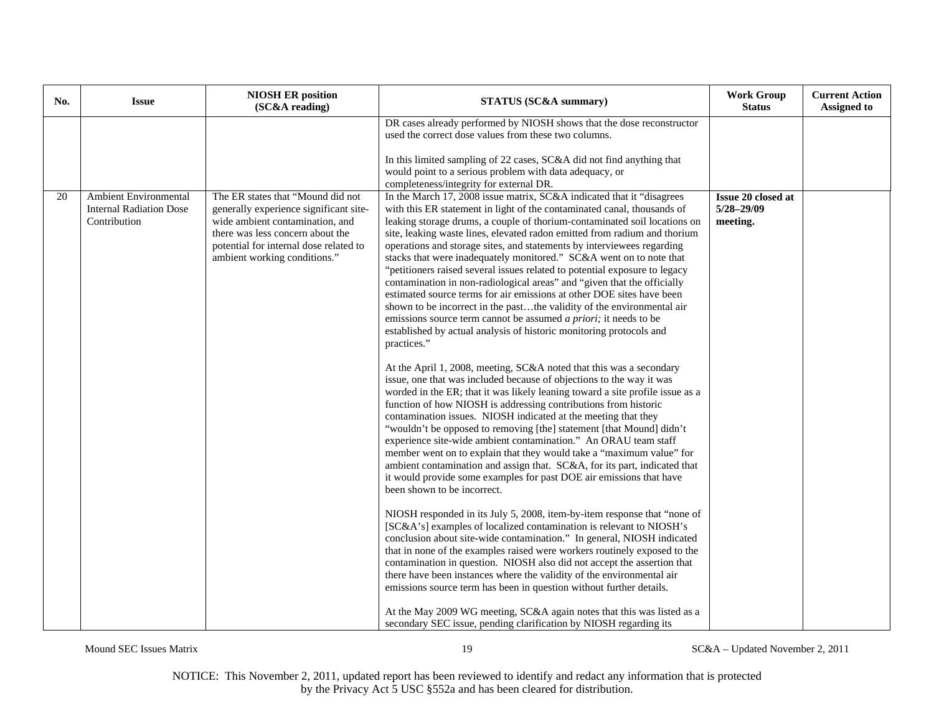| No. | <b>Issue</b>                                                                   | <b>NIOSH ER position</b><br>(SC&A reading)                                                                                                                                                                                   | STATUS (SC&A summary)                                                                                                                                                                                                                                                                                                                                                                                                                                                                                                                                                                                                                                                                                                                                                                                                                                                                                                                                                                                                                                                                                                                                                                                                                                                                                                                                                                                                                                                                                                                                                                                                                                                                                                                                                                                                                                                                                                                                                                                                                                                                                                                                                                                                                                                                                                                                                                             | <b>Work Group</b><br><b>Status</b>                      | <b>Current Action</b><br><b>Assigned to</b> |
|-----|--------------------------------------------------------------------------------|------------------------------------------------------------------------------------------------------------------------------------------------------------------------------------------------------------------------------|---------------------------------------------------------------------------------------------------------------------------------------------------------------------------------------------------------------------------------------------------------------------------------------------------------------------------------------------------------------------------------------------------------------------------------------------------------------------------------------------------------------------------------------------------------------------------------------------------------------------------------------------------------------------------------------------------------------------------------------------------------------------------------------------------------------------------------------------------------------------------------------------------------------------------------------------------------------------------------------------------------------------------------------------------------------------------------------------------------------------------------------------------------------------------------------------------------------------------------------------------------------------------------------------------------------------------------------------------------------------------------------------------------------------------------------------------------------------------------------------------------------------------------------------------------------------------------------------------------------------------------------------------------------------------------------------------------------------------------------------------------------------------------------------------------------------------------------------------------------------------------------------------------------------------------------------------------------------------------------------------------------------------------------------------------------------------------------------------------------------------------------------------------------------------------------------------------------------------------------------------------------------------------------------------------------------------------------------------------------------------------------------------|---------------------------------------------------------|---------------------------------------------|
|     |                                                                                |                                                                                                                                                                                                                              | DR cases already performed by NIOSH shows that the dose reconstructor<br>used the correct dose values from these two columns.<br>In this limited sampling of 22 cases, SC&A did not find anything that<br>would point to a serious problem with data adequacy, or<br>completeness/integrity for external DR.                                                                                                                                                                                                                                                                                                                                                                                                                                                                                                                                                                                                                                                                                                                                                                                                                                                                                                                                                                                                                                                                                                                                                                                                                                                                                                                                                                                                                                                                                                                                                                                                                                                                                                                                                                                                                                                                                                                                                                                                                                                                                      |                                                         |                                             |
| 20  | <b>Ambient Environmental</b><br><b>Internal Radiation Dose</b><br>Contribution | The ER states that "Mound did not<br>generally experience significant site-<br>wide ambient contamination, and<br>there was less concern about the<br>potential for internal dose related to<br>ambient working conditions." | In the March 17, 2008 issue matrix, SC&A indicated that it "disagrees"<br>with this ER statement in light of the contaminated canal, thousands of<br>leaking storage drums, a couple of thorium-contaminated soil locations on<br>site, leaking waste lines, elevated radon emitted from radium and thorium<br>operations and storage sites, and statements by interviewees regarding<br>stacks that were inadequately monitored." SC&A went on to note that<br>"petitioners raised several issues related to potential exposure to legacy<br>contamination in non-radiological areas" and "given that the officially<br>estimated source terms for air emissions at other DOE sites have been<br>shown to be incorrect in the pastthe validity of the environmental air<br>emissions source term cannot be assumed a priori; it needs to be<br>established by actual analysis of historic monitoring protocols and<br>practices."<br>At the April 1, 2008, meeting, SC&A noted that this was a secondary<br>issue, one that was included because of objections to the way it was<br>worded in the ER; that it was likely leaning toward a site profile issue as a<br>function of how NIOSH is addressing contributions from historic<br>contamination issues. NIOSH indicated at the meeting that they<br>"wouldn't be opposed to removing [the] statement [that Mound] didn't<br>experience site-wide ambient contamination." An ORAU team staff<br>member went on to explain that they would take a "maximum value" for<br>ambient contamination and assign that. SC&A, for its part, indicated that<br>it would provide some examples for past DOE air emissions that have<br>been shown to be incorrect.<br>NIOSH responded in its July 5, 2008, item-by-item response that "none of<br>[SC&A's] examples of localized contamination is relevant to NIOSH's<br>conclusion about site-wide contamination." In general, NIOSH indicated<br>that in none of the examples raised were workers routinely exposed to the<br>contamination in question. NIOSH also did not accept the assertion that<br>there have been instances where the validity of the environmental air<br>emissions source term has been in question without further details.<br>At the May 2009 WG meeting, SC&A again notes that this was listed as a<br>secondary SEC issue, pending clarification by NIOSH regarding its | <b>Issue 20 closed at</b><br>$5/28 - 29/09$<br>meeting. |                                             |

Mound SEC Issues Matrix 19 SC&A – Updated November 2, 2011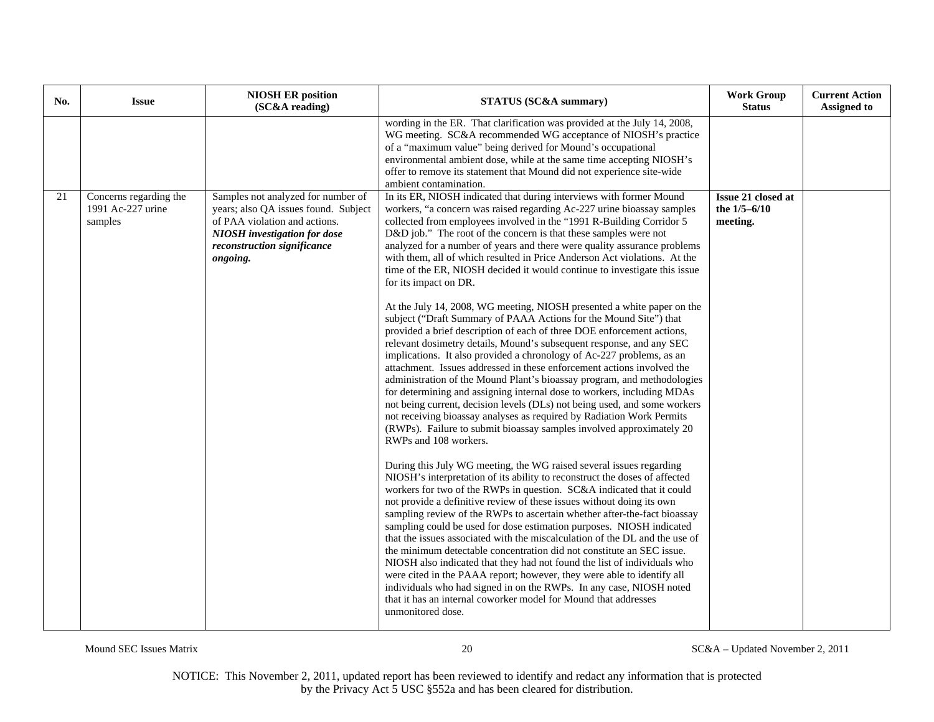| No. | <b>Issue</b>                                           | <b>NIOSH ER position</b><br>(SC&A reading)                                                                                                                                                    | <b>STATUS (SC&amp;A summary)</b>                                                                                                                                                                                                                                                                                                                                                                                                                                                                                                                                                                                                                                                                                                                                                                                                                                                                                                                                                                                                                                                                                                                                                                                                                                                                                                                                                                                                                                                                                                                                                                                                                                                                                                                                                                                                                                                                                                                                                                                                                                                                                                                                                                                                                                                                                                                                 | <b>Work Group</b><br><b>Status</b>                 | <b>Current Action</b><br><b>Assigned to</b> |
|-----|--------------------------------------------------------|-----------------------------------------------------------------------------------------------------------------------------------------------------------------------------------------------|------------------------------------------------------------------------------------------------------------------------------------------------------------------------------------------------------------------------------------------------------------------------------------------------------------------------------------------------------------------------------------------------------------------------------------------------------------------------------------------------------------------------------------------------------------------------------------------------------------------------------------------------------------------------------------------------------------------------------------------------------------------------------------------------------------------------------------------------------------------------------------------------------------------------------------------------------------------------------------------------------------------------------------------------------------------------------------------------------------------------------------------------------------------------------------------------------------------------------------------------------------------------------------------------------------------------------------------------------------------------------------------------------------------------------------------------------------------------------------------------------------------------------------------------------------------------------------------------------------------------------------------------------------------------------------------------------------------------------------------------------------------------------------------------------------------------------------------------------------------------------------------------------------------------------------------------------------------------------------------------------------------------------------------------------------------------------------------------------------------------------------------------------------------------------------------------------------------------------------------------------------------------------------------------------------------------------------------------------------------|----------------------------------------------------|---------------------------------------------|
|     |                                                        |                                                                                                                                                                                               | wording in the ER. That clarification was provided at the July 14, 2008,<br>WG meeting. SC&A recommended WG acceptance of NIOSH's practice<br>of a "maximum value" being derived for Mound's occupational<br>environmental ambient dose, while at the same time accepting NIOSH's<br>offer to remove its statement that Mound did not experience site-wide<br>ambient contamination.                                                                                                                                                                                                                                                                                                                                                                                                                                                                                                                                                                                                                                                                                                                                                                                                                                                                                                                                                                                                                                                                                                                                                                                                                                                                                                                                                                                                                                                                                                                                                                                                                                                                                                                                                                                                                                                                                                                                                                             |                                                    |                                             |
| 21  | Concerns regarding the<br>1991 Ac-227 urine<br>samples | Samples not analyzed for number of<br>years; also QA issues found. Subject<br>of PAA violation and actions.<br><b>NIOSH</b> investigation for dose<br>reconstruction significance<br>ongoing. | In its ER, NIOSH indicated that during interviews with former Mound<br>workers, "a concern was raised regarding Ac-227 urine bioassay samples<br>collected from employees involved in the "1991 R-Building Corridor 5<br>D&D job." The root of the concern is that these samples were not<br>analyzed for a number of years and there were quality assurance problems<br>with them, all of which resulted in Price Anderson Act violations. At the<br>time of the ER, NIOSH decided it would continue to investigate this issue<br>for its impact on DR.<br>At the July 14, 2008, WG meeting, NIOSH presented a white paper on the<br>subject ("Draft Summary of PAAA Actions for the Mound Site") that<br>provided a brief description of each of three DOE enforcement actions,<br>relevant dosimetry details, Mound's subsequent response, and any SEC<br>implications. It also provided a chronology of Ac-227 problems, as an<br>attachment. Issues addressed in these enforcement actions involved the<br>administration of the Mound Plant's bioassay program, and methodologies<br>for determining and assigning internal dose to workers, including MDAs<br>not being current, decision levels (DLs) not being used, and some workers<br>not receiving bioassay analyses as required by Radiation Work Permits<br>(RWPs). Failure to submit bioassay samples involved approximately 20<br>RWPs and 108 workers.<br>During this July WG meeting, the WG raised several issues regarding<br>NIOSH's interpretation of its ability to reconstruct the doses of affected<br>workers for two of the RWPs in question. SC&A indicated that it could<br>not provide a definitive review of these issues without doing its own<br>sampling review of the RWPs to ascertain whether after-the-fact bioassay<br>sampling could be used for dose estimation purposes. NIOSH indicated<br>that the issues associated with the miscalculation of the DL and the use of<br>the minimum detectable concentration did not constitute an SEC issue.<br>NIOSH also indicated that they had not found the list of individuals who<br>were cited in the PAAA report; however, they were able to identify all<br>individuals who had signed in on the RWPs. In any case, NIOSH noted<br>that it has an internal coworker model for Mound that addresses<br>unmonitored dose. | Issue 21 closed at<br>the $1/5 - 6/10$<br>meeting. |                                             |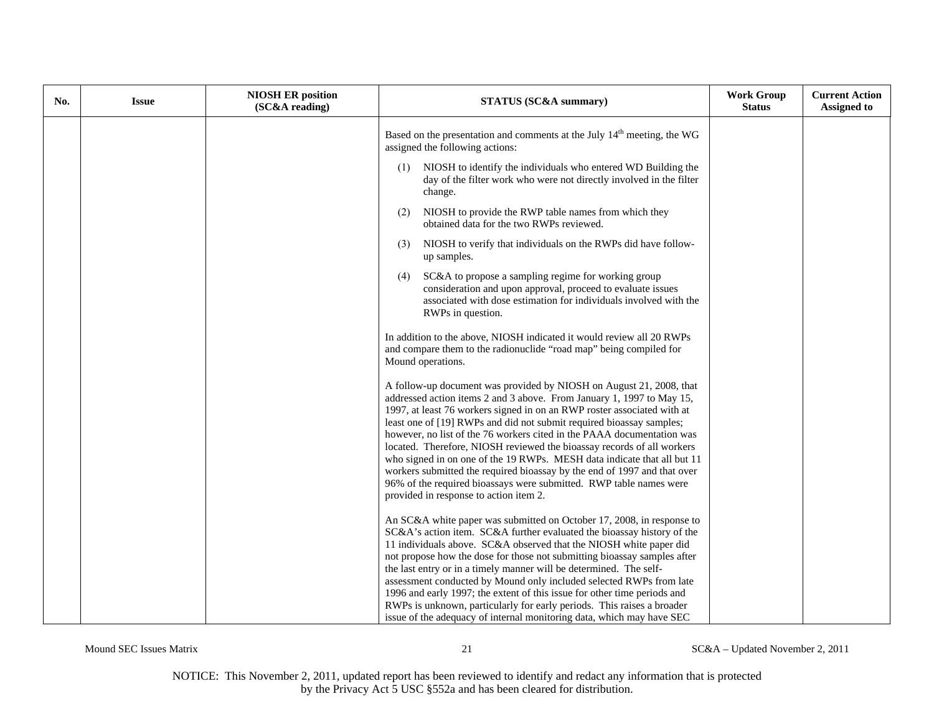| No. | <b>Issue</b> | <b>NIOSH ER position</b><br>(SC&A reading) | <b>STATUS (SC&amp;A summary)</b>                                                                                                                                                                                                                                                                                                                                                                                                                                                                                                                                                                                                                                                                                           | <b>Work Group</b><br><b>Status</b> | <b>Current Action</b><br><b>Assigned to</b> |
|-----|--------------|--------------------------------------------|----------------------------------------------------------------------------------------------------------------------------------------------------------------------------------------------------------------------------------------------------------------------------------------------------------------------------------------------------------------------------------------------------------------------------------------------------------------------------------------------------------------------------------------------------------------------------------------------------------------------------------------------------------------------------------------------------------------------------|------------------------------------|---------------------------------------------|
|     |              |                                            | Based on the presentation and comments at the July 14 <sup>th</sup> meeting, the WG<br>assigned the following actions:                                                                                                                                                                                                                                                                                                                                                                                                                                                                                                                                                                                                     |                                    |                                             |
|     |              |                                            | NIOSH to identify the individuals who entered WD Building the<br>(1)<br>day of the filter work who were not directly involved in the filter<br>change.                                                                                                                                                                                                                                                                                                                                                                                                                                                                                                                                                                     |                                    |                                             |
|     |              |                                            | NIOSH to provide the RWP table names from which they<br>(2)<br>obtained data for the two RWPs reviewed.                                                                                                                                                                                                                                                                                                                                                                                                                                                                                                                                                                                                                    |                                    |                                             |
|     |              |                                            | NIOSH to verify that individuals on the RWPs did have follow-<br>(3)<br>up samples.                                                                                                                                                                                                                                                                                                                                                                                                                                                                                                                                                                                                                                        |                                    |                                             |
|     |              |                                            | SC&A to propose a sampling regime for working group<br>(4)<br>consideration and upon approval, proceed to evaluate issues<br>associated with dose estimation for individuals involved with the<br>RWPs in question.                                                                                                                                                                                                                                                                                                                                                                                                                                                                                                        |                                    |                                             |
|     |              |                                            | In addition to the above, NIOSH indicated it would review all 20 RWPs<br>and compare them to the radionuclide "road map" being compiled for<br>Mound operations.                                                                                                                                                                                                                                                                                                                                                                                                                                                                                                                                                           |                                    |                                             |
|     |              |                                            | A follow-up document was provided by NIOSH on August 21, 2008, that<br>addressed action items 2 and 3 above. From January 1, 1997 to May 15,<br>1997, at least 76 workers signed in on an RWP roster associated with at<br>least one of [19] RWPs and did not submit required bioassay samples;<br>however, no list of the 76 workers cited in the PAAA documentation was<br>located. Therefore, NIOSH reviewed the bioassay records of all workers<br>who signed in on one of the 19 RWPs. MESH data indicate that all but 11<br>workers submitted the required bioassay by the end of 1997 and that over<br>96% of the required bioassays were submitted. RWP table names were<br>provided in response to action item 2. |                                    |                                             |
|     |              |                                            | An SC&A white paper was submitted on October 17, 2008, in response to<br>SC&A's action item. SC&A further evaluated the bioassay history of the<br>11 individuals above. SC&A observed that the NIOSH white paper did<br>not propose how the dose for those not submitting bioassay samples after<br>the last entry or in a timely manner will be determined. The self-<br>assessment conducted by Mound only included selected RWPs from late<br>1996 and early 1997; the extent of this issue for other time periods and<br>RWPs is unknown, particularly for early periods. This raises a broader<br>issue of the adequacy of internal monitoring data, which may have SEC                                              |                                    |                                             |

Mound SEC Issues Matrix 21 SC&A – Updated November 2, 2011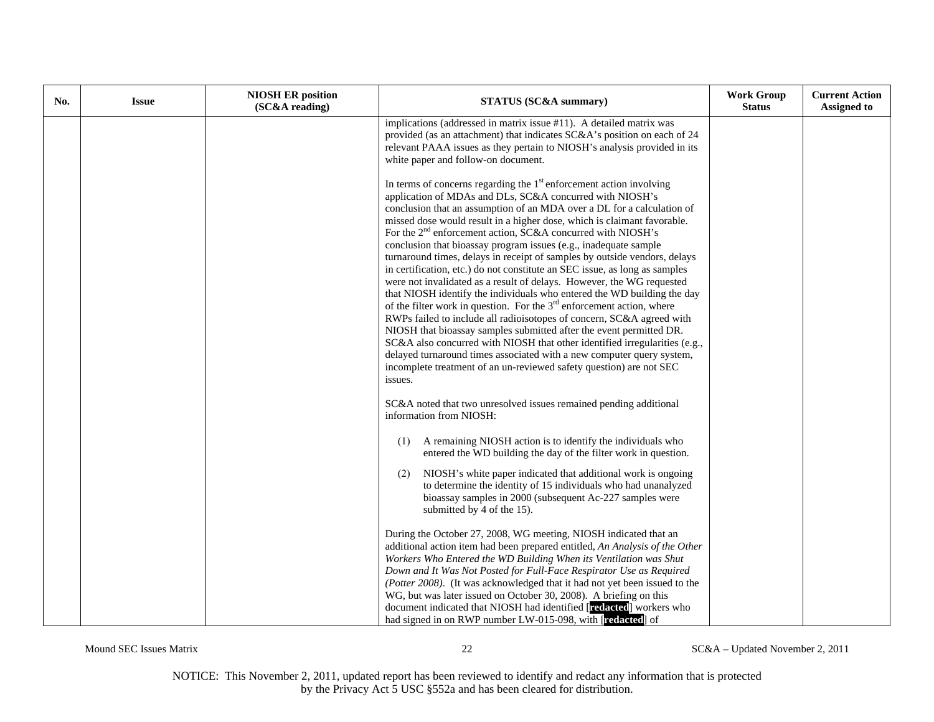| No. | <b>Issue</b> | <b>NIOSH ER position</b><br>(SC&A reading) | <b>STATUS (SC&amp;A summary)</b>                                                                                                                                                                                                                                                                                                                                                                                                                                                                                                                                                                                                                                                                                                                                                                                                                                                                                                                                                                                                                                                                                                                                                                                                   | <b>Work Group</b><br><b>Status</b> | <b>Current Action</b><br><b>Assigned to</b> |
|-----|--------------|--------------------------------------------|------------------------------------------------------------------------------------------------------------------------------------------------------------------------------------------------------------------------------------------------------------------------------------------------------------------------------------------------------------------------------------------------------------------------------------------------------------------------------------------------------------------------------------------------------------------------------------------------------------------------------------------------------------------------------------------------------------------------------------------------------------------------------------------------------------------------------------------------------------------------------------------------------------------------------------------------------------------------------------------------------------------------------------------------------------------------------------------------------------------------------------------------------------------------------------------------------------------------------------|------------------------------------|---------------------------------------------|
|     |              |                                            | implications (addressed in matrix issue #11). A detailed matrix was<br>provided (as an attachment) that indicates SC&A's position on each of 24<br>relevant PAAA issues as they pertain to NIOSH's analysis provided in its<br>white paper and follow-on document.                                                                                                                                                                                                                                                                                                                                                                                                                                                                                                                                                                                                                                                                                                                                                                                                                                                                                                                                                                 |                                    |                                             |
|     |              |                                            | In terms of concerns regarding the 1 <sup>st</sup> enforcement action involving<br>application of MDAs and DLs, SC&A concurred with NIOSH's<br>conclusion that an assumption of an MDA over a DL for a calculation of<br>missed dose would result in a higher dose, which is claimant favorable.<br>For the 2 <sup>nd</sup> enforcement action, SC&A concurred with NIOSH's<br>conclusion that bioassay program issues (e.g., inadequate sample<br>turnaround times, delays in receipt of samples by outside vendors, delays<br>in certification, etc.) do not constitute an SEC issue, as long as samples<br>were not invalidated as a result of delays. However, the WG requested<br>that NIOSH identify the individuals who entered the WD building the day<br>of the filter work in question. For the $3rd$ enforcement action, where<br>RWPs failed to include all radioisotopes of concern, SC&A agreed with<br>NIOSH that bioassay samples submitted after the event permitted DR.<br>SC&A also concurred with NIOSH that other identified irregularities (e.g.,<br>delayed turnaround times associated with a new computer query system,<br>incomplete treatment of an un-reviewed safety question) are not SEC<br>issues. |                                    |                                             |
|     |              |                                            | SC&A noted that two unresolved issues remained pending additional<br>information from NIOSH:                                                                                                                                                                                                                                                                                                                                                                                                                                                                                                                                                                                                                                                                                                                                                                                                                                                                                                                                                                                                                                                                                                                                       |                                    |                                             |
|     |              |                                            | A remaining NIOSH action is to identify the individuals who<br>(1)<br>entered the WD building the day of the filter work in question.                                                                                                                                                                                                                                                                                                                                                                                                                                                                                                                                                                                                                                                                                                                                                                                                                                                                                                                                                                                                                                                                                              |                                    |                                             |
|     |              |                                            | (2)<br>NIOSH's white paper indicated that additional work is ongoing<br>to determine the identity of 15 individuals who had unanalyzed<br>bioassay samples in 2000 (subsequent Ac-227 samples were<br>submitted by 4 of the 15).                                                                                                                                                                                                                                                                                                                                                                                                                                                                                                                                                                                                                                                                                                                                                                                                                                                                                                                                                                                                   |                                    |                                             |
|     |              |                                            | During the October 27, 2008, WG meeting, NIOSH indicated that an<br>additional action item had been prepared entitled, An Analysis of the Other<br>Workers Who Entered the WD Building When its Ventilation was Shut<br>Down and It Was Not Posted for Full-Face Respirator Use as Required<br>(Potter 2008). (It was acknowledged that it had not yet been issued to the<br>WG, but was later issued on October 30, 2008). A briefing on this<br>document indicated that NIOSH had identified [redacted] workers who<br>had signed in on RWP number LW-015-098, with [redacted] of                                                                                                                                                                                                                                                                                                                                                                                                                                                                                                                                                                                                                                                |                                    |                                             |

Mound SEC Issues Matrix 22 SC&A – Updated November 2, 2011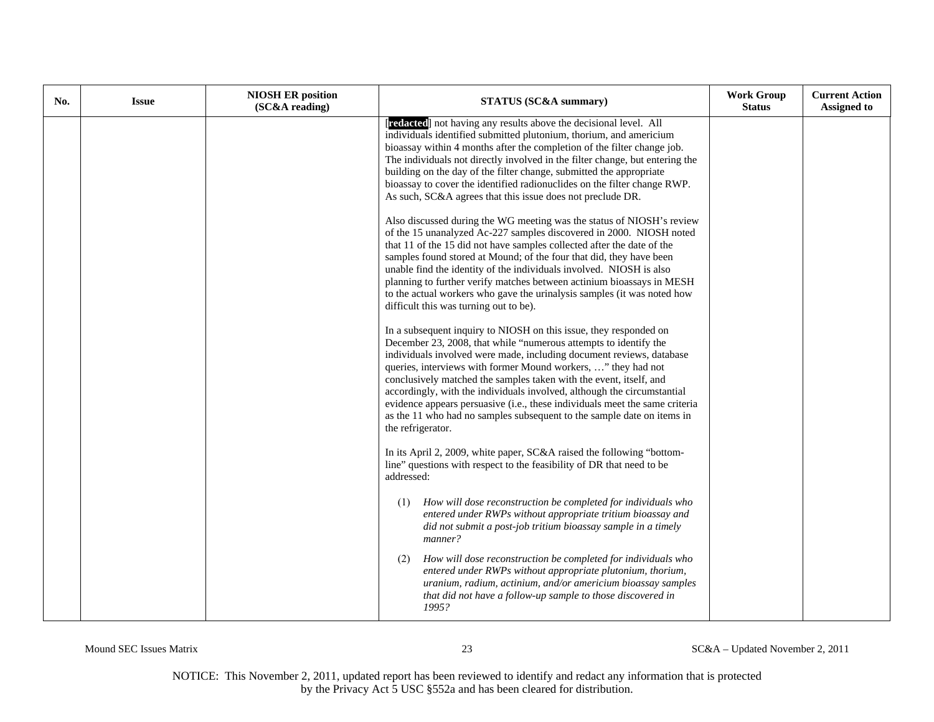| No. | <b>Issue</b> | <b>NIOSH ER position</b><br>(SC&A reading) | <b>STATUS (SC&amp;A summary)</b>                                                                                                                                                                                                                                                                                                                                                                                                                                                                                                                                                                                                                                                                                                                                                                                                                                                                                                                                                                                                                                                                                                                                                                                                                                                                                                                                                                                                                                                                                                                                                                                                                                                                                                                                                                                                                                                                                                                                                                                                                                                                                                                                                                                                                                                                                                                                   | <b>Work Group</b><br><b>Status</b> | <b>Current Action</b><br><b>Assigned to</b> |
|-----|--------------|--------------------------------------------|--------------------------------------------------------------------------------------------------------------------------------------------------------------------------------------------------------------------------------------------------------------------------------------------------------------------------------------------------------------------------------------------------------------------------------------------------------------------------------------------------------------------------------------------------------------------------------------------------------------------------------------------------------------------------------------------------------------------------------------------------------------------------------------------------------------------------------------------------------------------------------------------------------------------------------------------------------------------------------------------------------------------------------------------------------------------------------------------------------------------------------------------------------------------------------------------------------------------------------------------------------------------------------------------------------------------------------------------------------------------------------------------------------------------------------------------------------------------------------------------------------------------------------------------------------------------------------------------------------------------------------------------------------------------------------------------------------------------------------------------------------------------------------------------------------------------------------------------------------------------------------------------------------------------------------------------------------------------------------------------------------------------------------------------------------------------------------------------------------------------------------------------------------------------------------------------------------------------------------------------------------------------------------------------------------------------------------------------------------------------|------------------------------------|---------------------------------------------|
|     |              |                                            | [redacted] not having any results above the decisional level. All<br>individuals identified submitted plutonium, thorium, and americium<br>bioassay within 4 months after the completion of the filter change job.<br>The individuals not directly involved in the filter change, but entering the<br>building on the day of the filter change, submitted the appropriate<br>bioassay to cover the identified radionuclides on the filter change RWP.<br>As such, SC&A agrees that this issue does not preclude DR.<br>Also discussed during the WG meeting was the status of NIOSH's review<br>of the 15 unanalyzed Ac-227 samples discovered in 2000. NIOSH noted<br>that 11 of the 15 did not have samples collected after the date of the<br>samples found stored at Mound; of the four that did, they have been<br>unable find the identity of the individuals involved. NIOSH is also<br>planning to further verify matches between actinium bioassays in MESH<br>to the actual workers who gave the urinalysis samples (it was noted how<br>difficult this was turning out to be).<br>In a subsequent inquiry to NIOSH on this issue, they responded on<br>December 23, 2008, that while "numerous attempts to identify the<br>individuals involved were made, including document reviews, database<br>queries, interviews with former Mound workers, " they had not<br>conclusively matched the samples taken with the event, itself, and<br>accordingly, with the individuals involved, although the circumstantial<br>evidence appears persuasive (i.e., these individuals meet the same criteria<br>as the 11 who had no samples subsequent to the sample date on items in<br>the refrigerator.<br>In its April 2, 2009, white paper, SC&A raised the following "bottom-<br>line" questions with respect to the feasibility of DR that need to be<br>addressed:<br>How will dose reconstruction be completed for individuals who<br>(1)<br>entered under RWPs without appropriate tritium bioassay and<br>did not submit a post-job tritium bioassay sample in a timely<br>manner?<br>How will dose reconstruction be completed for individuals who<br>(2)<br>entered under RWPs without appropriate plutonium, thorium,<br>uranium, radium, actinium, and/or americium bioassay samples<br>that did not have a follow-up sample to those discovered in |                                    |                                             |
|     |              |                                            | 1995?                                                                                                                                                                                                                                                                                                                                                                                                                                                                                                                                                                                                                                                                                                                                                                                                                                                                                                                                                                                                                                                                                                                                                                                                                                                                                                                                                                                                                                                                                                                                                                                                                                                                                                                                                                                                                                                                                                                                                                                                                                                                                                                                                                                                                                                                                                                                                              |                                    |                                             |